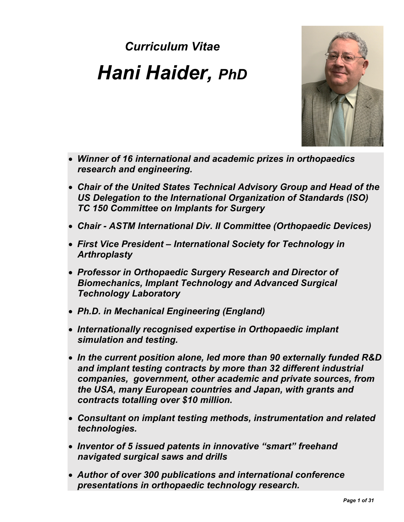# *Curriculum Vitae Hani Haider, PhD*



- *Winner of 16 international and academic prizes in orthopaedics research and engineering.*
- *Chair of the United States Technical Advisory Group and Head of the US Delegation to the International Organization of Standards (ISO) TC 150 Committee on Implants for Surgery*
- *Chair - ASTM International Div. II Committee (Orthopaedic Devices)*
- *First Vice President – International Society for Technology in Arthroplasty*
- *Professor in Orthopaedic Surgery Research and Director of Biomechanics, Implant Technology and Advanced Surgical Technology Laboratory*
- *Ph.D. in Mechanical Engineering (England)*
- *Internationally recognised expertise in Orthopaedic implant simulation and testing.*
- *In the current position alone, led more than 90 externally funded R&D and implant testing contracts by more than 32 different industrial companies, government, other academic and private sources, from the USA, many European countries and Japan, with grants and contracts totalling over \$10 million.*
- *Consultant on implant testing methods, instrumentation and related technologies.*
- *Inventor of 5 issued patents in innovative "smart" freehand navigated surgical saws and drills*
- *Author of over 300 publications and international conference presentations in orthopaedic technology research.*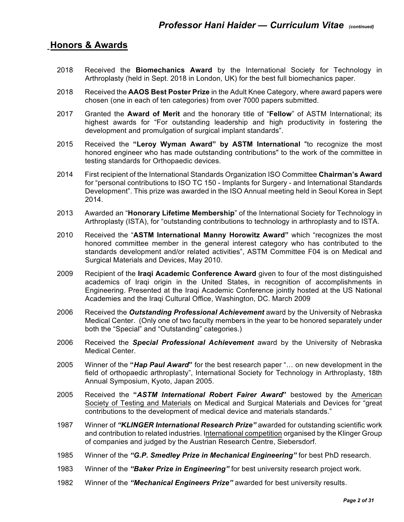# 0B**Honors & Awards**

- 2018 Received the **Biomechanics Award** by the International Society for Technology in Arthroplasty (held in Sept. 2018 in London, UK) for the best full biomechanics paper.
- 2018 Received the **AAOS Best Poster Prize** in the Adult Knee Category, where award papers were chosen (one in each of ten categories) from over 7000 papers submitted.
- 2017 Granted the **Award of Merit** and the honorary title of "**Fellow**" of ASTM International; its highest awards for "For outstanding leadership and high productivity in fostering the development and promulgation of surgical implant standards".
- 2015 Received the **"Leroy Wyman Award" by ASTM International** "to recognize the most honored engineer who has made outstanding contributions" to the work of the committee in testing standards for Orthopaedic devices.
- 2014 First recipient of the International Standards Organization ISO Committee **Chairman's Award** for "personal contributions to ISO TC 150 - Implants for Surgery - and International Standards Development". This prize was awarded in the ISO Annual meeting held in Seoul Korea in Sept 2014.
- 2013 Awarded an "**Honorary Lifetime Membership**" of the International Society for Technology in Arthroplasty (ISTA), for "outstanding contributions to technology in arthroplasty and to ISTA.
- 2010 Received the "**ASTM International Manny Horowitz Award"** which "recognizes the most honored committee member in the general interest category who has contributed to the standards development and/or related activities", ASTM Committee F04 is on Medical and Surgical Materials and Devices, May 2010.
- 2009 Recipient of the **Iraqi Academic Conference Award** given to four of the most distinguished academics of Iraqi origin in the United States, in recognition of accomplishments in Engineering. Presented at the Iraqi Academic Conference jointly hosted at the US National Academies and the Iraqi Cultural Office, Washington, DC. March 2009
- 2006 Received the *Outstanding Professional Achievement* award by the University of Nebraska Medical Center. (Only one of two faculty members in the year to be honored separately under both the "Special" and "Outstanding" categories.)
- 2006 Received the *Special Professional Achievement* award by the University of Nebraska Medical Center.
- 2005 Winner of the **"***Hap Paul Award***"** for the best research paper "… on new development in the field of orthopaedic arthroplasty", International Society for Technology in Arthroplasty, 18th Annual Symposium, Kyoto, Japan 2005.
- 2005 Received the **"***ASTM International Robert Fairer Award***"** bestowed by the American Society of Testing and Materials on Medical and Surgical Materials and Devices for "great contributions to the development of medical device and materials standards."
- 1987 Winner of *"KLINGER International Research Prize"* awarded for outstanding scientific work and contribution to related industries. International competition organised by the Klinger Group of companies and judged by the Austrian Research Centre, Siebersdorf.
- 1985 Winner of the *"G.P. Smedley Prize in Mechanical Engineering"* for best PhD research.
- 1983 Winner of the *"Baker Prize in Engineering"* for best university research project work.
- 1982 Winner of the *"Mechanical Engineers Prize"* awarded for best university results.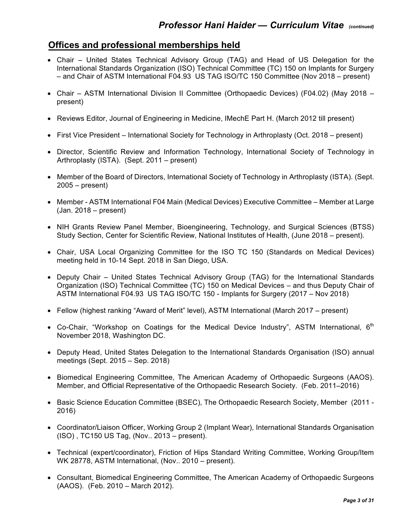# 1B**Offices and professional memberships held**

- Chair United States Technical Advisory Group (TAG) and Head of US Delegation for the International Standards Organization (ISO) Technical Committee (TC) 150 on Implants for Surgery – and Chair of ASTM International F04.93 US TAG ISO/TC 150 Committee (Nov 2018 – present)
- Chair ASTM International Division II Committee (Orthopaedic Devices) (F04.02) (May 2018 present)
- Reviews Editor, Journal of Engineering in Medicine, IMechE Part H. (March 2012 till present)
- First Vice President International Society for Technology in Arthroplasty (Oct. 2018 present)
- Director, Scientific Review and Information Technology, International Society of Technology in Arthroplasty (ISTA). (Sept. 2011 – present)
- Member of the Board of Directors, International Society of Technology in Arthroplasty (ISTA). (Sept. 2005 – present)
- Member ASTM International F04 Main (Medical Devices) Executive Committee Member at Large (Jan. 2018 – present)
- NIH Grants Review Panel Member, Bioengineering, Technology, and Surgical Sciences (BTSS) Study Section, Center for Scientific Review, National Institutes of Health, (June 2018 – present).
- Chair, USA Local Organizing Committee for the ISO TC 150 (Standards on Medical Devices) meeting held in 10-14 Sept. 2018 in San Diego, USA.
- Deputy Chair United States Technical Advisory Group (TAG) for the International Standards Organization (ISO) Technical Committee (TC) 150 on Medical Devices – and thus Deputy Chair of ASTM International F04.93 US TAG ISO/TC 150 - Implants for Surgery (2017 – Nov 2018)
- Fellow (highest ranking "Award of Merit" level), ASTM International (March 2017 present)
- Co-Chair, "Workshop on Coatings for the Medical Device Industry", ASTM International, 6<sup>th</sup> November 2018, Washington DC.
- Deputy Head, United States Delegation to the International Standards Organisation (ISO) annual meetings (Sept. 2015 – Sep. 2018)
- Biomedical Engineering Committee, The American Academy of Orthopaedic Surgeons (AAOS). Member, and Official Representative of the Orthopaedic Research Society. (Feb. 2011–2016)
- Basic Science Education Committee (BSEC), The Orthopaedic Research Society, Member (2011 2016)
- Coordinator/Liaison Officer, Working Group 2 (Implant Wear), International Standards Organisation (ISO) , TC150 US Tag, (Nov.. 2013 – present).
- Technical (expert/coordinator), Friction of Hips Standard Writing Committee, Working Group/Item WK 28778, ASTM International, (Nov.. 2010 – present).
- Consultant, Biomedical Engineering Committee, The American Academy of Orthopaedic Surgeons (AAOS). (Feb. 2010 – March 2012).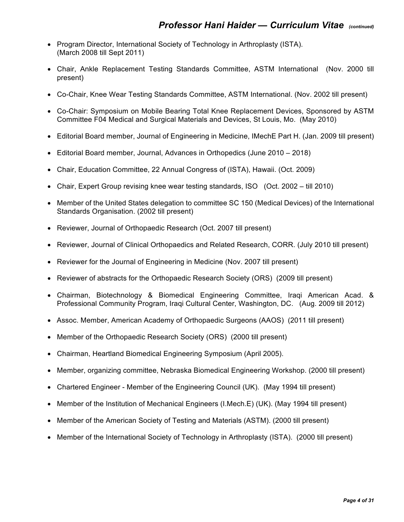- Program Director, International Society of Technology in Arthroplasty (ISTA). (March 2008 till Sept 2011)
- Chair, Ankle Replacement Testing Standards Committee, ASTM International (Nov. 2000 till present)
- Co-Chair, Knee Wear Testing Standards Committee, ASTM International. (Nov. 2002 till present)
- Co-Chair: Symposium on Mobile Bearing Total Knee Replacement Devices, Sponsored by ASTM Committee F04 Medical and Surgical Materials and Devices, St Louis, Mo. (May 2010)
- Editorial Board member, Journal of Engineering in Medicine, IMechE Part H. (Jan. 2009 till present)
- Editorial Board member, Journal, Advances in Orthopedics (June 2010 2018)
- Chair, Education Committee, 22 Annual Congress of (ISTA), Hawaii. (Oct. 2009)
- Chair, Expert Group revising knee wear testing standards, ISO (Oct. 2002 till 2010)
- Member of the United States delegation to committee SC 150 (Medical Devices) of the International Standards Organisation. (2002 till present)
- Reviewer, Journal of Orthopaedic Research (Oct. 2007 till present)
- Reviewer, Journal of Clinical Orthopaedics and Related Research, CORR. (July 2010 till present)
- Reviewer for the Journal of Engineering in Medicine (Nov. 2007 till present)
- Reviewer of abstracts for the Orthopaedic Research Society (ORS) (2009 till present)
- Chairman, Biotechnology & Biomedical Engineering Committee, Iraqi American Acad. & Professional Community Program, Iraqi Cultural Center, Washington, DC. (Aug. 2009 till 2012)
- Assoc. Member, American Academy of Orthopaedic Surgeons (AAOS) (2011 till present)
- Member of the Orthopaedic Research Society (ORS) (2000 till present)
- Chairman, Heartland Biomedical Engineering Symposium (April 2005).
- Member, organizing committee, Nebraska Biomedical Engineering Workshop. (2000 till present)
- Chartered Engineer Member of the Engineering Council (UK). (May 1994 till present)
- Member of the Institution of Mechanical Engineers (I.Mech.E) (UK). (May 1994 till present)
- Member of the American Society of Testing and Materials (ASTM). (2000 till present)
- Member of the International Society of Technology in Arthroplasty (ISTA). (2000 till present)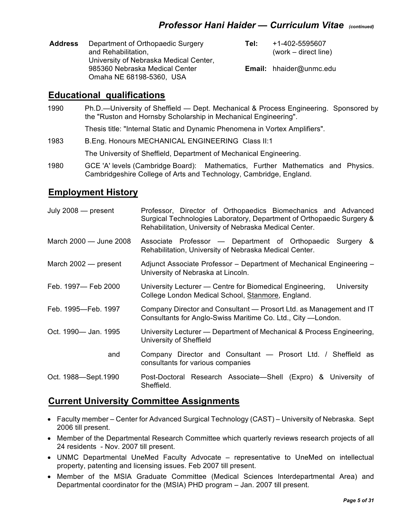| <b>Address</b> | Department of Orthopaedic Surgery<br>and Rehabilitation,                 | Tel: | +1-402-5595607<br>$(word - direct line)$ |
|----------------|--------------------------------------------------------------------------|------|------------------------------------------|
|                | University of Nebraska Medical Center,<br>985360 Nebraska Medical Center |      | <b>Email:</b> hhaider@unmc.edu           |
|                | Omaha NE 68198-5360, USA                                                 |      |                                          |

# 2B**Educational qualifications**

1990 Ph.D.—University of Sheffield — Dept. Mechanical & Process Engineering. Sponsored by the "Ruston and Hornsby Scholarship in Mechanical Engineering".

Thesis title: "Internal Static and Dynamic Phenomena in Vortex Amplifiers".

1983 B.Eng. Honours MECHANICAL ENGINEERING Class II:1

The University of Sheffield, Department of Mechanical Engineering.

1980 GCE 'A' levels (Cambridge Board): Mathematics, Further Mathematics and Physics. Cambridgeshire College of Arts and Technology, Cambridge, England.

# 3B**Employment History**

| July $2008$ - present  | Professor, Director of Orthopaedics Biomechanics and Advanced<br>Surgical Technologies Laboratory, Department of Orthopaedic Surgery &<br>Rehabilitation, University of Nebraska Medical Center. |
|------------------------|--------------------------------------------------------------------------------------------------------------------------------------------------------------------------------------------------|
| March 2000 - June 2008 | Associate Professor - Department of Orthopaedic Surgery &<br>Rehabilitation, University of Nebraska Medical Center.                                                                              |
| March $2002$ – present | Adjunct Associate Professor - Department of Mechanical Engineering -<br>University of Nebraska at Lincoln.                                                                                       |
| Feb. 1997- Feb 2000    | University Lecturer — Centre for Biomedical Engineering,<br>University<br>College London Medical School, Stanmore, England.                                                                      |
| Feb. 1995-Feb. 1997    | Company Director and Consultant - Prosort Ltd. as Management and IT<br>Consultants for Anglo-Swiss Maritime Co. Ltd., City -London.                                                              |
| Oct. 1990— Jan. 1995   | University Lecturer — Department of Mechanical & Process Engineering,<br>University of Sheffield                                                                                                 |
| and                    | Company Director and Consultant - Prosort Ltd. / Sheffield as<br>consultants for various companies                                                                                               |
| Oct. 1988-Sept. 1990   | Post-Doctoral Research Associate—Shell (Expro) & University of<br>Sheffield.                                                                                                                     |

## **Current University Committee Assignments**

- Faculty member Center for Advanced Surgical Technology (CAST) University of Nebraska. Sept 2006 till present.
- Member of the Departmental Research Committee which quarterly reviews research projects of all 24 residents - Nov. 2007 till present.
- UNMC Departmental UneMed Faculty Advocate representative to UneMed on intellectual property, patenting and licensing issues. Feb 2007 till present.
- Member of the MSIA Graduate Committee (Medical Sciences Interdepartmental Area) and Departmental coordinator for the (MSIA) PHD program – Jan. 2007 till present.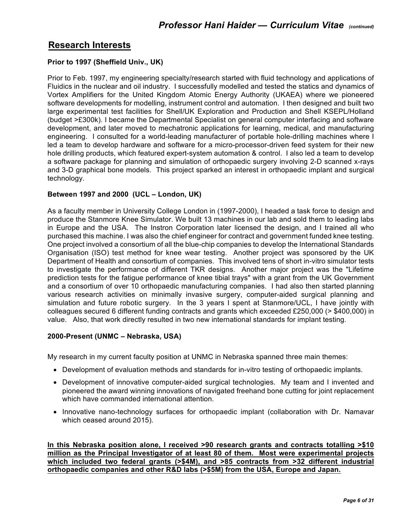# 5B**Research Interests**

#### **Prior to 1997 (Sheffield Univ., UK)**

Prior to Feb. 1997, my engineering specialty/research started with fluid technology and applications of Fluidics in the nuclear and oil industry. I successfully modelled and tested the statics and dynamics of Vortex Amplifiers for the United Kingdom Atomic Energy Authority (UKAEA) where we pioneered software developments for modelling, instrument control and automation. I then designed and built two large experimental test facilities for Shell/UK Exploration and Production and Shell KSEPL/Holland (budget >£300k). I became the Departmental Specialist on general computer interfacing and software development, and later moved to mechatronic applications for learning, medical, and manufacturing engineering. I consulted for a world-leading manufacturer of portable hole-drilling machines where I led a team to develop hardware and software for a micro-processor-driven feed system for their new hole drilling products, which featured expert-system automation & control. I also led a team to develop a software package for planning and simulation of orthopaedic surgery involving 2-D scanned x-rays and 3-D graphical bone models. This project sparked an interest in orthopaedic implant and surgical technology.

#### **Between 1997 and 2000 (UCL – London, UK)**

As a faculty member in University College London in (1997-2000), I headed a task force to design and produce the Stanmore Knee Simulator. We built 13 machines in our lab and sold them to leading labs in Europe and the USA. The Instron Corporation later licensed the design, and I trained all who purchased this machine. I was also the chief engineer for contract and government funded knee testing. One project involved a consortium of all the blue-chip companies to develop the International Standards Organisation (ISO) test method for knee wear testing. Another project was sponsored by the UK Department of Health and consortium of companies. This involved tens of short in-vitro simulator tests to investigate the performance of different TKR designs. Another major project was the "Lifetime prediction tests for the fatigue performance of knee tibial trays" with a grant from the UK Government and a consortium of over 10 orthopaedic manufacturing companies. I had also then started planning various research activities on minimally invasive surgery, computer-aided surgical planning and simulation and future robotic surgery. In the 3 years I spent at Stanmore/UCL, I have jointly with colleagues secured 6 different funding contracts and grants which exceeded £250,000 (> \$400,000) in value. Also, that work directly resulted in two new international standards for implant testing.

#### **2000-Present (UNMC – Nebraska, USA)**

My research in my current faculty position at UNMC in Nebraska spanned three main themes:

- Development of evaluation methods and standards for in-vitro testing of orthopaedic implants.
- Development of innovative computer-aided surgical technologies. My team and I invented and pioneered the award winning innovations of navigated freehand bone cutting for joint replacement which have commanded international attention.
- Innovative nano-technology surfaces for orthopaedic implant (collaboration with Dr. Namavar which ceased around 2015).

**In this Nebraska position alone, I received >90 research grants and contracts totalling >\$10 million as the Principal Investigator of at least 80 of them. Most were experimental projects which included two federal grants (>\$4M), and >85 contracts from >32 different industrial orthopaedic companies and other R&D labs (>\$5M) from the USA, Europe and Japan.**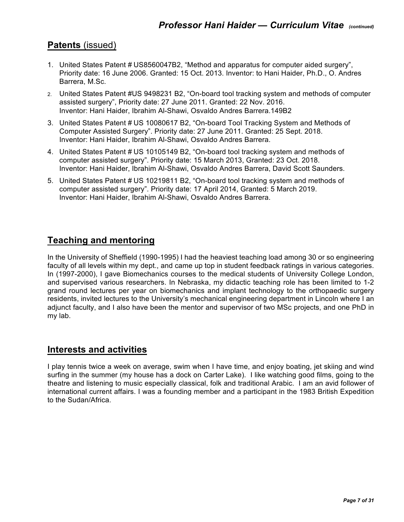# **Patents** (issued)

- 1. United States Patent # US8560047B2, "Method and apparatus for computer aided surgery", Priority date: 16 June 2006. Granted: 15 Oct. 2013. Inventor: to Hani Haider, Ph.D., O. Andres Barrera, M.Sc.
- 2. United States Patent #US 9498231 B2, "On-board tool tracking system and methods of computer assisted surgery", Priority date: 27 June 2011. Granted: 22 Nov. 2016. Inventor: Hani Haider, Ibrahim Al-Shawi, Osvaldo Andres Barrera.149B2
- 3. United States Patent # US 10080617 B2, "On-board Tool Tracking System and Methods of Computer Assisted Surgery". Priority date: 27 June 2011. Granted: 25 Sept. 2018. Inventor: Hani Haider, Ibrahim Al-Shawi, Osvaldo Andres Barrera.
- 4. United States Patent # US 10105149 B2, "On-board tool tracking system and methods of computer assisted surgery". Priority date: 15 March 2013, Granted: 23 Oct. 2018. Inventor: Hani Haider, Ibrahim Al-Shawi, Osvaldo Andres Barrera, David Scott Saunders.
- 5. United States Patent # US 10219811 B2, "On-board tool tracking system and methods of computer assisted surgery". Priority date: 17 April 2014, Granted: 5 March 2019. Inventor: Hani Haider, Ibrahim Al-Shawi, Osvaldo Andres Barrera.

# **Teaching and mentoring**

In the University of Sheffield (1990-1995) I had the heaviest teaching load among 30 or so engineering faculty of all levels within my dept., and came up top in student feedback ratings in various categories. In (1997-2000), I gave Biomechanics courses to the medical students of University College London, and supervised various researchers. In Nebraska, my didactic teaching role has been limited to 1-2 grand round lectures per year on biomechanics and implant technology to the orthopaedic surgery residents, invited lectures to the University's mechanical engineering department in Lincoln where I an adjunct faculty, and I also have been the mentor and supervisor of two MSc projects, and one PhD in my lab.

# **Interests and activities**

I play tennis twice a week on average, swim when I have time, and enjoy boating, jet skiing and wind surfing in the summer (my house has a dock on Carter Lake). I like watching good films, going to the theatre and listening to music especially classical, folk and traditional Arabic. I am an avid follower of international current affairs. I was a founding member and a participant in the 1983 British Expedition to the Sudan/Africa.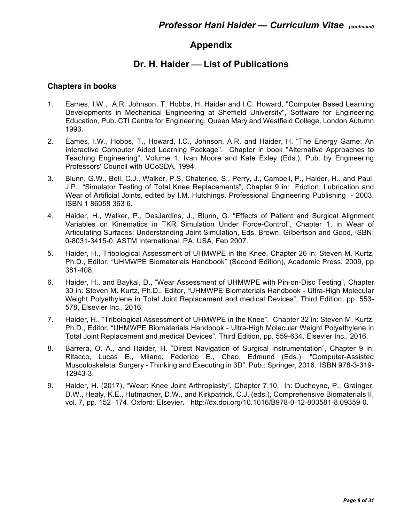# **7BAppendix**

# 8B**Dr. H. Haider** ¾ **List of Publications**

#### **Chapters in books**

- 1. Eames, I.W., A.R. Johnson, T. Hobbs, H. Haider and I.C. Howard, "Computer Based Learning Developments in Mechanical Engineering at Sheffield University", Software for Engineering Education, Pub. CTI Centre for Engineering, Queen Mary and Westfield College, London Autumn 1993.
- 2. Eames, I.W., Hobbs, T., Howard, I.C., Johnson, A.R. and Haider, H. "The Energy Game: An Interactive Computer Aided Learning Package". Chapter in book "Alternative Approaches to Teaching Engineering", Volume 1, Ivan Moore and Kate Exley (Eds.), Pub. by Engineering Professors' Council with UCoSDA, 1994.
- 3. Blunn, G.W., Bell, C.J., Walker, P.S. Chaterjee, S., Perry, J., Cambell, P., Haider, H., and Paul, J.P., "Simulator Testing of Total Knee Replacements", Chapter 9 in: Friction, Lubrication and Wear of Artificial Joints, edited by I.M. Hutchings. Professional Engineering Publishing - 2003. ISBN 1 86058 363 6.
- 4. Haider, H., Walker, P., DesJardins, J., Blunn, G. "Effects of Patient and Surgical Alignment Variables on Kinematics in TKR Simulation Under Force-Control", Chapter 1, in Wear of Articulating Surfaces: Understanding Joint Simulation, Eds. Brown, Gilbertson and Good, ISBN: 0-8031-3415-0, ASTM International, PA, USA, Feb 2007.
- 5. Haider, H., Tribological Assessment of UHMWPE in the Knee, Chapter 26 in: Steven M. Kurtz, Ph.D., Editor, "UHMWPE Biomaterials Handbook" (Second Edition), Academic Press, 2009, pp 381-408.
- 6. Haider, H., and Baykal, D., "Wear Assessment of UHMWPE with Pin-on-Disc Testing", Chapter 30 in: Steven M. Kurtz, Ph.D., Editor, "UHMWPE Biomaterials Handbook - Ultra-High Molecular Weight Polyethylene in Total Joint Replacement and medical Devices", Third Edition, pp. 553- 578, Elsevier Inc., 2016.
- 7. Haider, H., "Tribological Assessment of UHMWPE in the Knee", Chapter 32 in: Steven M. Kurtz, Ph.D., Editor, "UHMWPE Biomaterials Handbook - Ultra-High Molecular Weight Polyethylene in Total Joint Replacement and medical Devices", Third Edition, pp. 559-634, Elsevier Inc., 2016.
- 8. Barrera, O. A., and Haider, H. "Direct Navigation of Surgical Instrumentation", Chapter 9 in: Ritacco, Lucas E., Milano, Federico E., Chao, Edmund (Eds.), "Computer-Assisted Musculoskeletal Surgery - Thinking and Executing in 3D", Pub.: Springer, 2016. ISBN 978-3-319- 12943-3.
- 9. Haider, H. (2017), "Wear: Knee Joint Arthroplasty", Chapter 7.10, In: Ducheyne, P., Grainger, D.W., Healy, K.E., Hutmacher, D.W., and Kirkpatrick, C.J. (eds.), Comprehensive Biomaterials II, vol. 7, pp. 152–174. Oxford: Elsevier. http://dx.doi.org/10.1016/B978-0-12-803581-8.09359-0.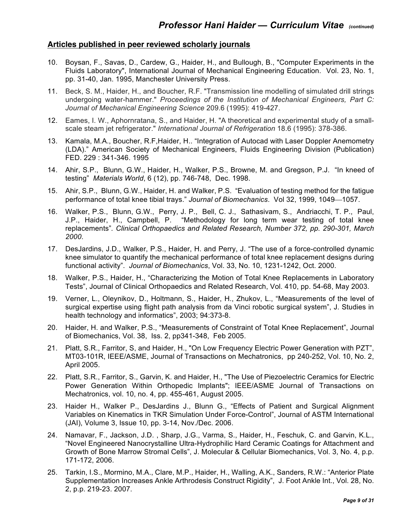#### **Articles published in peer reviewed scholarly journals**

- 10. Boysan, F., Savas, D., Cardew, G., Haider, H., and Bullough, B., "Computer Experiments in the Fluids Laboratory", International Journal of Mechanical Engineering Education. Vol. 23, No. 1, pp. 31-40, Jan. 1995, Manchester University Press.
- 11. Beck, S. M., Haider, H., and Boucher, R.F. "Transmission line modelling of simulated drill strings undergoing water-hammer." *Proceedings of the Institution of Mechanical Engineers, Part C: Journal of Mechanical Engineering Science* 209.6 (1995): 419-427.
- 12. Eames, I. W., Aphornratana, S., and Haider, H. "A theoretical and experimental study of a smallscale steam jet refrigerator." *International Journal of Refrigeration* 18.6 (1995): 378-386.
- 13. Kamala, M.A., Boucher, R.F,Haider, H.. "Integration of Autocad with Laser Doppler Anemometry (LDA)." American Society of Mechanical Engineers, Fluids Engineering Division (Publication) FED. 229 : 341-346. 1995
- 14. Ahir, S.P., Blunn, G.W., Haider, H., Walker, P.S., Browne, M. and Gregson, P.J. "In kneed of testing" *Materials World*, 6 (12), pp. 746-748, Dec. 1998.
- 15. Ahir, S.P., Blunn, G.W., Haider, H. and Walker, P.S. "Evaluation of testing method for the fatigue performance of total knee tibial trays." Journal of Biomechanics. Vol 32, 1999, 1049-1057.
- 16. Walker, P.S., Blunn, G.W., Perry, J. P., Bell, C. J., Sathasivam, S., Andriacchi, T. P., Paul, J.P., Haider, H., Campbell, P. "Methodology for long term wear testing of total knee replacements"*. Clinical Orthopaedics and Related Research, Number 372, pp. 290-301, March 2000*.
- 17. DesJardins, J.D., Walker, P.S., Haider, H. and Perry, J. "The use of a force-controlled dynamic knee simulator to quantify the mechanical performance of total knee replacement designs during functional activity". *Journal of Biomechanics*, Vol. 33, No. 10, 1231-1242, Oct. 2000.
- 18. Walker, P.S., Haider, H., "Characterizing the Motion of Total Knee Replacements in Laboratory Tests", Journal of Clinical Orthopaedics and Related Research, Vol. 410, pp. 54-68, May 2003.
- 19. Verner, L., Oleynikov, D., Holtmann, S., Haider, H., Zhukov, L., "Measurements of the level of surgical expertise using flight path analysis from da Vinci robotic surgical system", J. Studies in health technology and informatics", 2003; 94:373-8.
- 20. Haider, H. and Walker, P.S., "Measurements of Constraint of Total Knee Replacement", Journal of Biomechanics, Vol. 38, Iss. 2, pp341-348, Feb 2005.
- 21. Platt, S.R., Farritor, S, and Haider, H., "On Low Frequency Electric Power Generation with PZT", MT03-101R, IEEE/ASME, Journal of Transactions on Mechatronics, pp 240-252, Vol. 10, No. 2, April 2005.
- 22. Platt, S.R., Farritor, S., Garvin, K. and Haider, H., "The Use of Piezoelectric Ceramics for Electric Power Generation Within Orthopedic Implants"; IEEE/ASME Journal of Transactions on Mechatronics, vol. 10, no. 4, pp. 455-461, August 2005.
- 23. Haider H., Walker P., DesJardins J., Blunn G., "Effects of Patient and Surgical Alignment Variables on Kinematics in TKR Simulation Under Force-Control", Journal of ASTM International (JAI), Volume 3, Issue 10, pp. 3-14, Nov./Dec. 2006.
- 24. Namavar, F., Jackson, J.D. , Sharp, J.G., Varma, S., Haider, H., Feschuk, C. and Garvin, K.L., "Novel Engineered Nanocrystalline Ultra-Hydrophilic Hard Ceramic Coatings for Attachment and Growth of Bone Marrow Stromal Cells", J. Molecular & Cellular Biomechanics, Vol. 3, No. 4, p.p. 171-172, 2006.
- 25. Tarkin, I.S., Mormino, M.A., Clare, M.P., Haider, H., Walling, A.K., Sanders, R.W.: "Anterior Plate Supplementation Increases Ankle Arthrodesis Construct Rigidity", J. Foot Ankle Int., Vol. 28, No. 2, p.p. 219-23. 2007.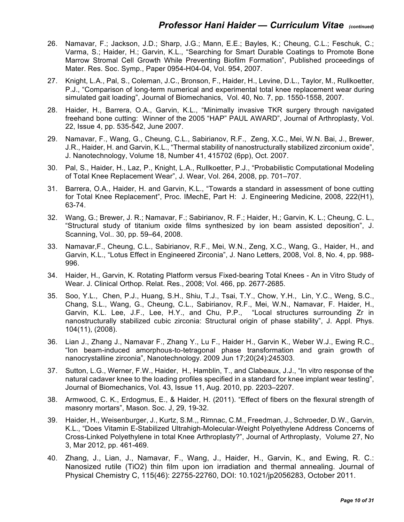- 26. Namavar, F.; Jackson, J.D.; Sharp, J.G.; Mann, E.E.; Bayles, K.; Cheung, C.L.; Feschuk, C.; Varma, S.; Haider, H.; Garvin, K.L., "Searching for Smart Durable Coatings to Promote Bone Marrow Stromal Cell Growth While Preventing Biofilm Formation", Published proceedings of Mater. Res. Soc. Symp., Paper 0954-H04-04, Vol. 954, 2007.
- 27. Knight, L.A., Pal, S., Coleman, J.C., Bronson, F., Haider, H., Levine, D.L., Taylor, M., Rullkoetter, P.J., "Comparison of long-term numerical and experimental total knee replacement wear during simulated gait loading", Journal of Biomechanics, Vol. 40, No. 7, pp. 1550-1558, 2007.
- 28. Haider, H., Barrera, O.A., Garvin, K.L., "Minimally invasive TKR surgery through navigated freehand bone cutting: Winner of the 2005 "HAP" PAUL AWARD", Journal of Arthroplasty, Vol. 22, Issue 4, pp. 535-542, June 2007.
- 29. Namavar, F., Wang, G., Cheung, C.L., Sabirianov, R.F., Zeng, X.C., Mei, W.N. Bai, J., Brewer, J.R., Haider, H. and Garvin, K.L., "Thermal stability of nanostructurally stabilized zirconium oxide", J. Nanotechnology, Volume 18, Number 41, 415702 (6pp), Oct. 2007.
- 30. Pal, S., Haider, H., Laz, P., Knight, L.A., Rullkoetter, P.J., "Probabilistic Computational Modeling of Total Knee Replacement Wear", J. Wear, Vol. 264, 2008, pp. 701–707.
- 31. Barrera, O.A., Haider, H. and Garvin, K.L., "Towards a standard in assessment of bone cutting for Total Knee Replacement", Proc. IMechE, Part H: J. Engineering Medicine, 2008, 222(H1), 63-74.
- 32. Wang, G.; Brewer, J. R.; Namavar, F.; Sabirianov, R. F.; Haider, H.; Garvin, K. L.; Cheung, C. L., "Structural study of titanium oxide films synthesized by ion beam assisted deposition", J. Scanning, Vol.. 30, pp. 59–64, 2008.
- 33. Namavar,F., Cheung, C.L., Sabirianov, R.F., Mei, W.N., Zeng, X.C., Wang, G., Haider, H., and Garvin, K.L., "Lotus Effect in Engineered Zirconia", J. Nano Letters, 2008, Vol. 8, No. 4, pp. 988- 996.
- 34. Haider, H., Garvin, K. Rotating Platform versus Fixed-bearing Total Knees An in Vitro Study of Wear. J. Clinical Orthop. Relat. Res., 2008; Vol. 466, pp. 2677-2685.
- 35. Soo, Y.L., Chen, P.J., Huang, S.H., Shiu, T.J., Tsai, T.Y., Chow, Y.H., Lin, Y.C., Weng, S.C., Chang, S.L., Wang, G., Cheung, C.L., Sabirianov, R.F., Mei, W.N., Namavar, F. Haider, H., Garvin, K.L. Lee, J.F., Lee, H.Y., and Chu, P.P., "Local structures surrounding Zr in nanostructurally stabilized cubic zirconia: Structural origin of phase stability", J. Appl. Phys. 104(11), (2008).
- 36. Lian J., Zhang J., Namavar F., Zhang Y., Lu F., Haider H., Garvin K., Weber W.J., Ewing R.C., "Ion beam-induced amorphous-to-tetragonal phase transformation and grain growth of nanocrystalline zirconia", Nanotechnology. 2009 Jun 17;20(24):245303.
- 37. Sutton, L.G., Werner, F.W., Haider, H., Hamblin, T., and Clabeaux, J.J., "In vitro response of the natural cadaver knee to the loading profiles specified in a standard for knee implant wear testing", Journal of Biomechanics, Vol. 43, Issue 11, Aug. 2010, pp. 2203–2207.
- 38. Armwood, C. K., Erdogmus, E., & Haider, H. (2011). "Effect of fibers on the flexural strength of masonry mortars", Mason. Soc. J, 29, 19-32.
- 39. Haider, H., Weisenburger, J., Kurtz, S.M.,, Rimnac, C.M., Freedman, J., Schroeder, D.W., Garvin, K.L., "Does Vitamin E-Stabilized Ultrahigh-Molecular-Weight Polyethylene Address Concerns of Cross-Linked Polyethylene in total Knee Arthroplasty?", Journal of Arthroplasty, Volume 27, No 3, Mar 2012, pp. 461-469.
- 40. Zhang, J., Lian, J., Namavar, F., Wang, J., Haider, H., Garvin, K., and Ewing, R. C.: Nanosized rutile (TiO2) thin film upon ion irradiation and thermal annealing. Journal of Physical Chemistry C, 115(46): 22755-22760, DOI: 10.1021/jp2056283, October 2011.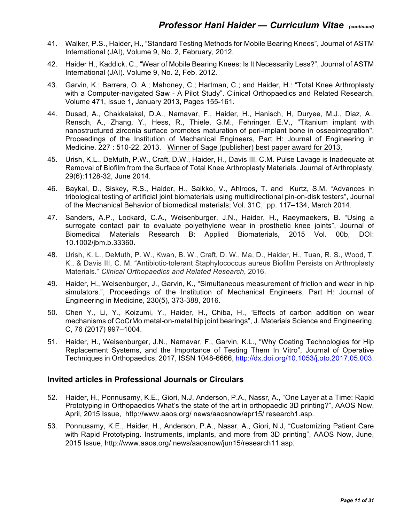- 41. Walker, P.S., Haider, H., "Standard Testing Methods for Mobile Bearing Knees", Journal of ASTM International (JAI), Volume 9, No. 2, February, 2012.
- 42. Haider H., Kaddick, C., "Wear of Mobile Bearing Knees: Is It Necessarily Less?", Journal of ASTM International (JAI). Volume 9, No. 2, Feb. 2012.
- 43. Garvin, K.; Barrera, O. A.; Mahoney, C.; Hartman, C.; and Haider, H.: "Total Knee Arthroplasty with a Computer-navigated Saw - A Pilot Study". Clinical Orthopaedics and Related Research, Volume 471, Issue 1, January 2013, Pages 155-161.
- 44. Dusad, A., Chakkalakal, D.A., Namavar, F., Haider, H., Hanisch, H, Duryee, M.J., Diaz, A., Rensch, A., Zhang, Y., Hess, R., Thiele, G.M., Fehringer. E.V., "Titanium implant with nanostructured zirconia surface promotes maturation of peri-implant bone in osseointegration", Proceedings of the Institution of Mechanical Engineers, Part H: Journal of Engineering in Medicine. 227 : 510-22. 2013. Winner of Sage (publisher) best paper award for 2013.
- 45. Urish, K.L., DeMuth, P.W., Craft, D.W., Haider, H., Davis III, C.M. Pulse Lavage is Inadequate at Removal of Biofilm from the Surface of Total Knee Arthroplasty Materials. Journal of Arthroplasty, 29(6):1128-32, June 2014.
- 46. Baykal, D., Siskey, R.S., Haider, H., Saikko, V., Ahlroos, T. and Kurtz, S.M. "Advances in tribological testing of artificial joint biomaterials using multidirectional pin-on-disk testers", Journal of the Mechanical Behavior of biomedical materials; Vol. 31C, pp. 117–134, March 2014.
- 47. Sanders, A.P., Lockard, C.A., Weisenburger, J.N., Haider, H., Raeymaekers, B. "Using a surrogate contact pair to evaluate polyethylene wear in prosthetic knee joints", Journal of Biomedical Materials Research B: Applied Biomaterials, 2015 Vol. 00b, DOI: 10.1002/jbm.b.33360.
- 48. Urish, K. L., DeMuth, P. W., Kwan, B. W., Craft, D. W., Ma, D., Haider, H., Tuan, R. S., Wood, T. K., & Davis III, C. M. "Antibiotic-tolerant Staphylococcus aureus Biofilm Persists on Arthroplasty Materials." *Clinical Orthopaedics and Related Research*, 2016.
- 49. Haider, H., Weisenburger, J., Garvin, K., "Simultaneous measurement of friction and wear in hip simulators.", Proceedings of the Institution of Mechanical Engineers, Part H: Journal of Engineering in Medicine, 230(5), 373-388, 2016.
- 50. Chen Y., Li, Y., Koizumi, Y., Haider, H., Chiba, H., "Effects of carbon addition on wear mechanisms of CoCrMo metal-on-metal hip joint bearings", J. Materials Science and Engineering, C, 76 (2017) 997–1004.
- 51. Haider, H., Weisenburger, J.N., Namavar, F., Garvin, K.L., "Why Coating Technologies for Hip Replacement Systems, and the Importance of Testing Them In Vitro", Journal of Operative Techniques in Orthopaedics, 2017, ISSN 1048-6666, http://dx.doi.org/10.1053/j.oto.2017.05.003.

#### **Invited articles in Professional Journals or Circulars**

- 52. Haider, H., Ponnusamy, K.E., Giori, N.J, Anderson, P.A., Nassr, A., "One Layer at a Time: Rapid Prototyping in Orthopaedics What's the state of the art in orthopaedic 3D printing?", AAOS Now, April, 2015 Issue, http://www.aaos.org/ news/aaosnow/apr15/ research1.asp.
- 53. Ponnusamy, K.E., Haider, H., Anderson, P.A., Nassr, A., Giori, N.J, "Customizing Patient Care with Rapid Prototyping. Instruments, implants, and more from 3D printing", AAOS Now, June, 2015 Issue, http://www.aaos.org/ news/aaosnow/jun15/research11.asp.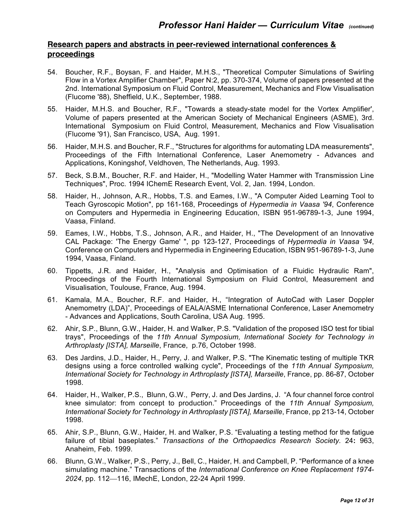#### **Research papers and abstracts in peer-reviewed international conferences & proceedings**

- 54. Boucher, R.F., Boysan, F. and Haider, M.H.S., "Theoretical Computer Simulations of Swirling Flow in a Vortex Amplifier Chamber", Paper N:2, pp. 370-374, Volume of papers presented at the 2nd. International Symposium on Fluid Control, Measurement, Mechanics and Flow Visualisation (Flucome '88), Sheffield, U.K., September, 1988.
- 55. Haider, M.H.S. and Boucher, R.F., "Towards a steady-state model for the Vortex Amplifier', Volume of papers presented at the American Society of Mechanical Engineers (ASME), 3rd. International Symposium on Fluid Control, Measurement, Mechanics and Flow Visualisation (Flucome '91), San Francisco, USA, Aug. 1991.
- 56. Haider, M.H.S. and Boucher, R.F., "Structures for algorithms for automating LDA measurements", Proceedings of the Fifth International Conference, Laser Anemometry - Advances and Applications, Koningshof, Veldhoven, The Netherlands, Aug. 1993.
- 57. Beck, S.B.M., Boucher, R.F. and Haider, H., "Modelling Water Hammer with Transmission Line Techniques", Proc. 1994 IChemE Research Event, Vol. 2, Jan. 1994, London.
- 58. Haider, H., Johnson, A.R., Hobbs, T.S. and Eames, I.W., "A Computer Aided Learning Tool to Teach Gyroscopic Motion", pp 161-168, Proceedings of *Hypermedia in Vaasa '94*, Conference on Computers and Hypermedia in Engineering Education, ISBN 951-96789-1-3, June 1994, Vaasa, Finland.
- 59. Eames, I.W., Hobbs, T.S., Johnson, A.R., and Haider, H., "The Development of an Innovative CAL Package: 'The Energy Game' ", pp 123-127, Proceedings of *Hypermedia in Vaasa '94*, Conference on Computers and Hypermedia in Engineering Education, ISBN 951-96789-1-3, June 1994, Vaasa, Finland.
- 60. Tippetts, J.R. and Haider, H., "Analysis and Optimisation of a Fluidic Hydraulic Ram", Proceedings of the Fourth International Symposium on Fluid Control, Measurement and Visualisation, Toulouse, France, Aug. 1994.
- 61. Kamala, M.A., Boucher, R.F. and Haider, H., "Integration of AutoCad with Laser Doppler Anemometry (LDA)", Proceedings of EALA/ASME International Conference, Laser Anemometry - Advances and Applications, South Carolina, USA Aug. 1995.
- 62. Ahir, S.P., Blunn, G.W., Haider, H. and Walker, P.S. "Validation of the proposed ISO test for tibial trays", Proceedings of the *11th Annual Symposium, International Society for Technology in Arthroplasty [ISTA], Marseille*, France, p.76, October 1998.
- 63. Des Jardins, J.D., Haider, H., Perry, J. and Walker, P.S. "The Kinematic testing of multiple TKR designs using a force controlled walking cycle", Proceedings of the *11th Annual Symposium, International Society for Technology in Arthroplasty [ISTA], Marseille*, France, pp. 86-87, October 1998.
- 64. Haider, H., Walker, P.S., Blunn, G.W., Perry, J. and Des Jardins, J. "A four channel force control knee simulator: from concept to production." Proceedings of the *11th Annual Symposium, International Society for Technology in Arthroplasty [ISTA], Marseille*, France, pp 213-14, October 1998.
- 65. Ahir, S.P., Blunn, G.W., Haider, H. and Walker, P.S. "Evaluating a testing method for the fatigue failure of tibial baseplates." *Transactions of the Orthopaedics Research Society.* 24**:** 963, Anaheim, Feb. 1999.
- 66. Blunn, G.W., Walker, P.S., Perry, J., Bell, C., Haider, H. and Campbell, P. "Performance of a knee simulating machine." Transactions of the *International Conference on Knee Replacement 1974-* 2024, pp. 112-116, IMechE, London, 22-24 April 1999.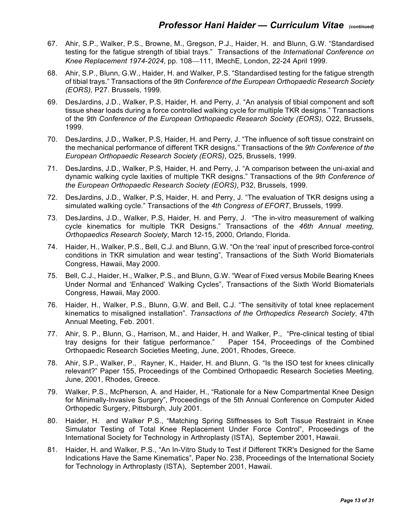- 67. Ahir, S.P., Walker, P.S., Browne, M., Gregson, P.J., Haider, H. and Blunn, G.W. "Standardised testing for the fatigue strength of tibial trays." Transactions of the *International Conference on Knee Replacement 1974-2024, pp. 108*—111, IMechE, London, 22-24 April 1999.
- 68. Ahir, S.P., Blunn, G.W., Haider, H. and Walker, P.S. "Standardised testing for the fatigue strength of tibial trays." Transactions of the *9th Conference of the European Orthopaedic Research Society (EORS),* P27. Brussels, 1999.
- 69. DesJardins, J.D., Walker, P.S, Haider, H. and Perry, J. "An analysis of tibial component and soft tissue shear loads during a force controlled walking cycle for multiple TKR designs." Transactions of the *9th Conference of the European Orthopaedic Research Society (EORS)*, O22, Brussels, 1999.
- 70. DesJardins, J.D., Walker, P.S, Haider, H. and Perry, J. "The influence of soft tissue constraint on the mechanical performance of different TKR designs." Transactions of the *9th Conference of the European Orthopaedic Research Society (EORS)*, O25, Brussels, 1999.
- 71. DesJardins, J.D., Walker, P.S, Haider, H. and Perry, J. "A comparison between the uni-axial and dynamic walking cycle laxities of multiple TKR designs." Transactions of the *9th Conference of the European Orthopaedic Research Society (EORS)*, P32, Brussels, 1999.
- 72. DesJardins, J.D., Walker, P.S, Haider, H. and Perry, J. "The evaluation of TKR designs using a simulated walking cycle." Transactions of the *4th Congress of EFORT*, Brussels, 1999.
- 73. DesJardins, J.D., Walker, P.S, Haider, H. and Perry, J. "The in-vitro measurement of walking cycle kinematics for multiple TKR Designs." Transactions of the *46th Annual meeting, Orthopaedics Research Society*, March 12-15, 2000, Orlando, Florida.
- 74. Haider, H., Walker, P.S., Bell, C.J. and Blunn, G.W. "On the 'real' input of prescribed force-control conditions in TKR simulation and wear testing", Transactions of the Sixth World Biomaterials Congress, Hawaii, May 2000.
- 75. Bell, C.J., Haider, H., Walker, P.S., and Blunn, G.W. "Wear of Fixed versus Mobile Bearing Knees Under Normal and 'Enhanced' Walking Cycles", Transactions of the Sixth World Biomaterials Congress, Hawaii, May 2000.
- 76. Haider, H., Walker, P.S., Blunn, G.W. and Bell, C.J. "The sensitivity of total knee replacement kinematics to misaligned installation". *Transactions of the Orthopedics Research Society*, 47th Annual Meeting, Feb. 2001.
- 77. Ahir, S. P., Blunn, G., Harrison, M., and Haider, H. and Walker, P., "Pre-clinical testing of tibial tray designs for their fatigue performance." Paper 154, Proceedings of the Combined Orthopaedic Research Societies Meeting, June, 2001, Rhodes, Greece.
- 78. Ahir, S.P., Walker, P., Rayner, K., Haider, H. and Blunn, G. "Is the ISO test for knees clinically relevant?" Paper 155, Proceedings of the Combined Orthopaedic Research Societies Meeting, June, 2001, Rhodes, Greece.
- 79. Walker, P.S., McPherson, A. and Haider, H., "Rationale for a New Compartmental Knee Design for Minimally-Invasive Surgery", Proceedings of the 5th Annual Conference on Computer Aided Orthopedic Surgery, Pittsburgh, July 2001.
- 80. Haider, H. and Walker P.S., "Matching Spring Stiffnesses to Soft Tissue Restraint in Knee Simulator Testing of Total Knee Replacement Under Force Control", Proceedings of the International Society for Technology in Arthroplasty (ISTA), September 2001, Hawaii.
- 81. Haider, H. and Walker, P.S., "An In-Vitro Study to Test if Different TKR's Designed for the Same Indications Have the Same Kinematics", Paper No. 238, Proceedings of the International Society for Technology in Arthroplasty (ISTA), September 2001, Hawaii.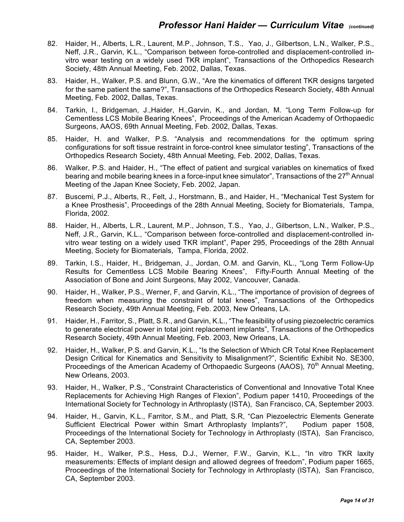- 82. Haider, H., Alberts, L.R., Laurent, M.P., Johnson, T.S., Yao, J., Gilbertson, L.N., Walker, P.S., Neff, J.R., Garvin, K.L., "Comparison between force-controlled and displacement-controlled invitro wear testing on a widely used TKR implant", Transactions of the Orthopedics Research Society, 48th Annual Meeting, Feb. 2002, Dallas, Texas.
- 83. Haider, H., Walker, P.S. and Blunn, G.W., "Are the kinematics of different TKR designs targeted for the same patient the same?", Transactions of the Orthopedics Research Society, 48th Annual Meeting, Feb. 2002, Dallas, Texas.
- 84. Tarkin, I., Bridgeman, J.,Haider, H.,Garvin, K., and Jordan, M. "Long Term Follow-up for Cementless LCS Mobile Bearing Knees", Proceedings of the American Academy of Orthopaedic Surgeons, AAOS, 69th Annual Meeting, Feb. 2002, Dallas, Texas.
- 85. Haider, H. and Walker, P.S. "Analysis and recommendations for the optimum spring configurations for soft tissue restraint in force-control knee simulator testing", Transactions of the Orthopedics Research Society, 48th Annual Meeting, Feb. 2002, Dallas, Texas.
- 86. Walker, P.S. and Haider, H., "The effect of patient and surgical variables on kinematics of fixed bearing and mobile bearing knees in a force-input knee simulator", Transactions of the  $27<sup>th</sup>$  Annual Meeting of the Japan Knee Society, Feb. 2002, Japan.
- 87. Buscemi, P.J., Alberts, R., Felt, J., Horstmann, B., and Haider, H., "Mechanical Test System for a Knee Prosthesis", Proceedings of the 28th Annual Meeting, Society for Biomaterials, Tampa, Florida, 2002.
- 88. Haider, H., Alberts, L.R., Laurent, M.P., Johnson, T.S., Yao, J., Gilbertson, L.N., Walker, P.S., Neff, J.R., Garvin, K.L., "Comparison between force-controlled and displacement-controlled invitro wear testing on a widely used TKR implant", Paper 295, Proceedings of the 28th Annual Meeting, Society for Biomaterials, Tampa, Florida, 2002.
- 89. Tarkin, I.S., Haider, H., Bridgeman, J., Jordan, O.M. and Garvin, KL., "Long Term Follow-Up Results for Cementless LCS Mobile Bearing Knees", Fifty-Fourth Annual Meeting of the Association of Bone and Joint Surgeons, May 2002, Vancouver, Canada.
- 90. Haider, H., Walker, P.S., Werner, F, and Garvin, K.L., "The importance of provision of degrees of freedom when measuring the constraint of total knees", Transactions of the Orthopedics Research Society, 49th Annual Meeting, Feb. 2003, New Orleans, LA.
- 91. Haider, H., Farritor, S., Platt, S.R., and Garvin, K.L., "The feasibility of using piezoelectric ceramics to generate electrical power in total joint replacement implants", Transactions of the Orthopedics Research Society, 49th Annual Meeting, Feb. 2003, New Orleans, LA.
- 92. Haider, H., Walker, P.S. and Garvin, K.L., "Is the Selection of Which CR Total Knee Replacement Design Critical for Kinematics and Sensitivity to Misalignment?", Scientific Exhibit No. SE300, Proceedings of the American Academy of Orthopaedic Surgeons (AAOS), 70<sup>th</sup> Annual Meeting, New Orleans, 2003.
- 93. Haider, H., Walker, P.S., "Constraint Characteristics of Conventional and Innovative Total Knee Replacements for Achieving High Ranges of Flexion", Podium paper 1410, Proceedings of the International Society for Technology in Arthroplasty (ISTA), San Francisco, CA, September 2003.
- 94. Haider, H., Garvin, K.L., Farritor, S.M., and Platt, S.R, "Can Piezoelectric Elements Generate Sufficient Electrical Power within Smart Arthroplasty Implants?", Podium paper 1508, Proceedings of the International Society for Technology in Arthroplasty (ISTA), San Francisco, CA, September 2003.
- 95. Haider, H., Walker, P.S., Hess, D.J., Werner, F.W., Garvin, K.L., "In vitro TKR laxity measurements: Effects of implant design and allowed degrees of freedom", Podium paper 1665, Proceedings of the International Society for Technology in Arthroplasty (ISTA), San Francisco, CA, September 2003.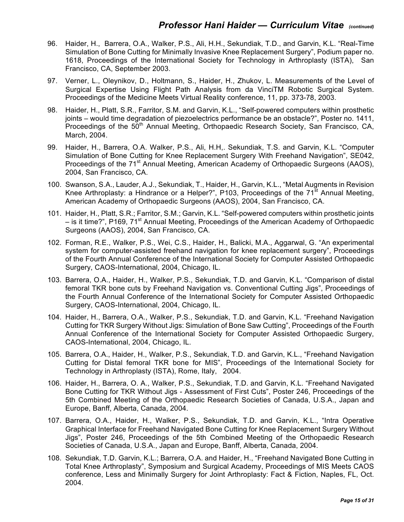- 96. Haider, H., Barrera, O.A., Walker, P.S., Ali, H.H., Sekundiak, T.D., and Garvin, K.L. "Real-Time Simulation of Bone Cutting for Minimally Invasive Knee Replacement Surgery", Podium paper no. 1618, Proceedings of the International Society for Technology in Arthroplasty (ISTA), San Francisco, CA, September 2003.
- 97. Verner, L., Oleynikov, D., Holtmann, S., Haider, H., Zhukov, L. Measurements of the Level of Surgical Expertise Using Flight Path Analysis from da VinciTM Robotic Surgical System. Proceedings of the Medicine Meets Virtual Reality conference, 11, pp. 373-78, 2003.
- 98. Haider, H., Platt, S.R., Farritor, S.M. and Garvin, K.L., "Self-powered computers within prosthetic joints – would time degradation of piezoelectrics performance be an obstacle?", Poster no. 1411, Proceedings of the  $50<sup>th</sup>$  Annual Meeting, Orthopaedic Research Society, San Francisco, CA, March, 2004.
- 99. Haider, H., Barrera, O.A. Walker, P.S., Ali, H.H,. Sekundiak, T.S. and Garvin, K.L. "Computer Simulation of Bone Cutting for Knee Replacement Surgery With Freehand Navigation", SE042, Proceedings of the 71<sup>st</sup> Annual Meeting, American Academy of Orthopaedic Surgeons (AAOS), 2004, San Francisco, CA.
- 100. Swanson, S.A., Lauder, A.J., Sekundiak, T., Haider, H., Garvin, K.L., "Metal Augments in Revision Knee Arthroplasty: a Hindrance or a Helper?", P103, Proceedings of the  $71<sup>st</sup>$  Annual Meeting, American Academy of Orthopaedic Surgeons (AAOS), 2004, San Francisco, CA.
- 101. Haider, H., Platt, S.R.; Farritor, S.M.; Garvin, K.L. "Self-powered computers within prosthetic joints – is it time?", P169, 71<sup>st</sup> Annual Meeting, Proceedings of the American Academy of Orthopaedic Surgeons (AAOS), 2004, San Francisco, CA.
- 102. Forman, R.E., Walker, P.S., Wei, C.S., Haider, H., Balicki, M.A., Aggarwal, G. "An experimental system for computer-assisted freehand navigation for knee replacement surgery", Proceedings of the Fourth Annual Conference of the International Society for Computer Assisted Orthopaedic Surgery, CAOS-International, 2004, Chicago, IL.
- 103. Barrera, O.A., Haider, H., Walker, P.S., Sekundiak, T.D. and Garvin, K.L. "Comparison of distal femoral TKR bone cuts by Freehand Navigation vs. Conventional Cutting Jigs", Proceedings of the Fourth Annual Conference of the International Society for Computer Assisted Orthopaedic Surgery, CAOS-International, 2004, Chicago, IL.
- 104. Haider, H., Barrera, O.A., Walker, P.S., Sekundiak, T.D. and Garvin, K.L. "Freehand Navigation Cutting for TKR Surgery Without Jigs: Simulation of Bone Saw Cutting", Proceedings of the Fourth Annual Conference of the International Society for Computer Assisted Orthopaedic Surgery, CAOS-International, 2004, Chicago, IL.
- 105. Barrera, O.A., Haider, H., Walker, P.S., Sekundiak, T.D. and Garvin, K.L., "Freehand Navigation Cutting for Distal femoral TKR bone for MIS", Proceedings of the International Society for Technology in Arthroplasty (ISTA), Rome, Italy, 2004.
- 106. Haider, H., Barrera, O. A., Walker, P.S., Sekundiak, T.D. and Garvin, K.L. "Freehand Navigated Bone Cutting for TKR Without Jigs - Assessment of First Cuts", Poster 246, Proceedings of the 5th Combined Meeting of the Orthopaedic Research Societies of Canada, U.S.A., Japan and Europe, Banff, Alberta, Canada, 2004.
- 107. Barrera, O.A., Haider, H., Walker, P.S., Sekundiak, T.D. and Garvin, K.L., "Intra Operative Graphical Interface for Freehand Navigated Bone Cutting for Knee Replacement Surgery Without Jigs", Poster 246, Proceedings of the 5th Combined Meeting of the Orthopaedic Research Societies of Canada, U.S.A., Japan and Europe, Banff, Alberta, Canada, 2004.
- 108. Sekundiak, T.D. Garvin, K.L.; Barrera, O.A. and Haider, H., "Freehand Navigated Bone Cutting in Total Knee Arthroplasty", Symposium and Surgical Academy, Proceedings of MIS Meets CAOS conference, Less and Minimally Surgery for Joint Arthroplasty: Fact & Fiction, Naples, FL, Oct. 2004.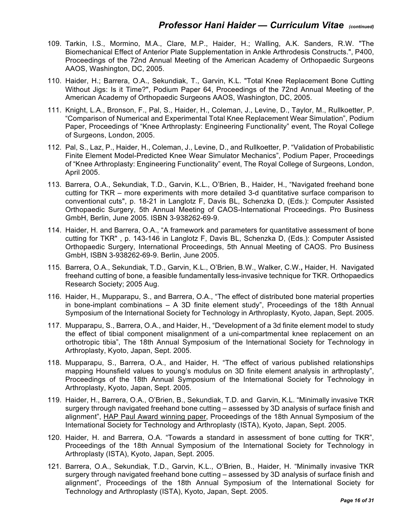- 109. Tarkin, I.S., Mormino, M.A., Clare, M.P., Haider, H.; Walling, A.K. Sanders, R.W. "The Biomechanical Effect of Anterior Plate Supplementation in Ankle Arthrodesis Constructs.", P400, Proceedings of the 72nd Annual Meeting of the American Academy of Orthopaedic Surgeons AAOS, Washington, DC, 2005.
- 110. Haider, H.; Barrera, O.A., Sekundiak, T., Garvin, K.L. "Total Knee Replacement Bone Cutting Without Jigs: Is it Time?", Podium Paper 64, Proceedings of the 72nd Annual Meeting of the American Academy of Orthopaedic Surgeons AAOS, Washington, DC, 2005.
- 111. Knight, L.A., Bronson, F., Pal, S., Haider, H., Coleman, J., Levine, D., Taylor, M., Rullkoetter, P. "Comparison of Numerical and Experimental Total Knee Replacement Wear Simulation", Podium Paper, Proceedings of "Knee Arthroplasty: Engineering Functionality" event, The Royal College of Surgeons, London, 2005.
- 112. Pal, S., Laz, P., Haider, H., Coleman, J., Levine, D., and Rullkoetter, P. "Validation of Probabilistic Finite Element Model-Predicted Knee Wear Simulator Mechanics", Podium Paper, Proceedings of "Knee Arthroplasty: Engineering Functionality" event, The Royal College of Surgeons, London, April 2005.
- 113. Barrera, O.A., Sekundiak, T.D., Garvin, K.L., O'Brien, B., Haider, H., "Navigated freehand bone cutting for TKR – more experiments with more detailed 3-d quantitative surface comparison to conventional cuts", p. 18-21 in Langlotz F, Davis BL, Schenzka D, (Eds.): Computer Assisted Orthopaedic Surgery, 5th Annual Meeting of CAOS-International Proceedings. Pro Business GmbH, Berlin, June 2005. ISBN 3-938262-69-9.
- 114. Haider, H. and Barrera, O.A., "A framework and parameters for quantitative assessment of bone cutting for TKR" , p. 143-146 in Langlotz F, Davis BL, Schenzka D, (Eds.): Computer Assisted Orthopaedic Surgery, International Proceedings, 5th Annual Meeting of CAOS. Pro Business GmbH, ISBN 3-938262-69-9. Berlin, June 2005.
- 115. Barrera, O.A., Sekundiak, T.D., Garvin, K.L., O'Brien, B.W., Walker, C.W.**,** Haider, H. Navigated freehand cutting of bone, a feasible fundamentally less-invasive technique for TKR. Orthopaedics Research Society; 2005 Aug.
- 116. Haider, H., Mupparapu, S., and Barrera, O.A., "The effect of distributed bone material properties in bone-implant combinations – A 3D finite element study", Proceedings of the 18th Annual Symposium of the International Society for Technology in Arthroplasty, Kyoto, Japan, Sept. 2005.
- 117. Mupparapu, S., Barrera, O.A., and Haider, H., "Development of a 3d finite element model to study the effect of tibial component misalignment of a uni-compartmental knee replacement on an orthotropic tibia", The 18th Annual Symposium of the International Society for Technology in Arthroplasty, Kyoto, Japan, Sept. 2005.
- 118. Mupparapu, S., Barrera, O.A., and Haider, H. "The effect of various published relationships mapping Hounsfield values to young's modulus on 3D finite element analysis in arthroplasty", Proceedings of the 18th Annual Symposium of the International Society for Technology in Arthroplasty, Kyoto, Japan, Sept. 2005.
- 119. Haider, H., Barrera, O.A., O'Brien, B., Sekundiak, T.D. and Garvin, K.L. "Minimally invasive TKR surgery through navigated freehand bone cutting – assessed by 3D analysis of surface finish and alignment", HAP Paul Award winning paper, Proceedings of the 18th Annual Symposium of the International Society for Technology and Arthroplasty (ISTA), Kyoto, Japan, Sept. 2005.
- 120. Haider, H. and Barrera, O.A. "Towards a standard in assessment of bone cutting for TKR", Proceedings of the 18th Annual Symposium of the International Society for Technology in Arthroplasty (ISTA), Kyoto, Japan, Sept. 2005.
- 121. Barrera, O.A., Sekundiak, T.D., Garvin, K.L., O'Brien, B., Haider, H. "Minimally invasive TKR surgery through navigated freehand bone cutting – assessed by 3D analysis of surface finish and alignment", Proceedings of the 18th Annual Symposium of the International Society for Technology and Arthroplasty (ISTA), Kyoto, Japan, Sept. 2005.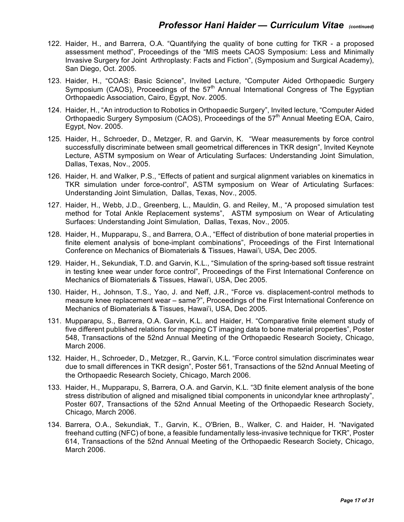- 122. Haider, H., and Barrera, O.A. "Quantifying the quality of bone cutting for TKR a proposed assessment method", Proceedings of the "MIS meets CAOS Symposium: Less and Minimally Invasive Surgery for Joint Arthroplasty: Facts and Fiction", (Symposium and Surgical Academy), San Diego, Oct. 2005.
- 123. Haider, H., "COAS: Basic Science", Invited Lecture, "Computer Aided Orthopaedic Surgery Symposium (CAOS), Proceedings of the  $57<sup>th</sup>$  Annual International Congress of The Egyptian Orthopaedic Association, Cairo, Egypt, Nov. 2005.
- 124. Haider, H., "An introduction to Robotics in Orthopaedic Surgery", Invited lecture, "Computer Aided Orthopaedic Surgery Symposium (CAOS), Proceedings of the 57<sup>th</sup> Annual Meeting EOA, Cairo, Egypt, Nov. 2005.
- 125. Haider, H., Schroeder, D., Metzger, R. and Garvin, K. "Wear measurements by force control successfully discriminate between small geometrical differences in TKR design", Invited Keynote Lecture, ASTM symposium on Wear of Articulating Surfaces: Understanding Joint Simulation, Dallas, Texas, Nov., 2005.
- 126. Haider, H. and Walker, P.S., "Effects of patient and surgical alignment variables on kinematics in TKR simulation under force-control", ASTM symposium on Wear of Articulating Surfaces: Understanding Joint Simulation, Dallas, Texas, Nov., 2005.
- 127. Haider, H., Webb, J.D., Greenberg, L., Mauldin, G. and Reiley, M., "A proposed simulation test method for Total Ankle Replacement systems", ASTM symposium on Wear of Articulating Surfaces: Understanding Joint Simulation, Dallas, Texas, Nov., 2005.
- 128. Haider, H., Mupparapu, S., and Barrera, O.A., "Effect of distribution of bone material properties in finite element analysis of bone-implant combinations", Proceedings of the First International Conference on Mechanics of Biomaterials & Tissues, Hawai'i, USA, Dec 2005.
- 129. Haider, H., Sekundiak, T.D. and Garvin, K.L., "Simulation of the spring-based soft tissue restraint in testing knee wear under force control", Proceedings of the First International Conference on Mechanics of Biomaterials & Tissues, Hawai'i, USA, Dec 2005.
- 130. Haider, H., Johnson, T.S., Yao, J. and Neff, J.R., "Force vs. displacement-control methods to measure knee replacement wear – same?", Proceedings of the First International Conference on Mechanics of Biomaterials & Tissues, Hawai'i, USA, Dec 2005.
- 131. Mupparapu, S., Barrera, O.A. Garvin, K.L. and Haider, H. "Comparative finite element study of five different published relations for mapping CT imaging data to bone material properties", Poster 548, Transactions of the 52nd Annual Meeting of the Orthopaedic Research Society, Chicago, March 2006.
- 132. Haider, H., Schroeder, D., Metzger, R., Garvin, K.L. "Force control simulation discriminates wear due to small differences in TKR design", Poster 561, Transactions of the 52nd Annual Meeting of the Orthopaedic Research Society, Chicago, March 2006.
- 133. Haider, H., Mupparapu, S, Barrera, O.A. and Garvin, K.L. "3D finite element analysis of the bone stress distribution of aligned and misaligned tibial components in unicondylar knee arthroplasty", Poster 607, Transactions of the 52nd Annual Meeting of the Orthopaedic Research Society, Chicago, March 2006.
- 134. Barrera, O.A., Sekundiak, T., Garvin, K., O'Brien, B., Walker, C. and Haider, H. "Navigated freehand cutting (NFC) of bone, a feasible fundamentally less-invasive technique for TKR", Poster 614, Transactions of the 52nd Annual Meeting of the Orthopaedic Research Society, Chicago, March 2006.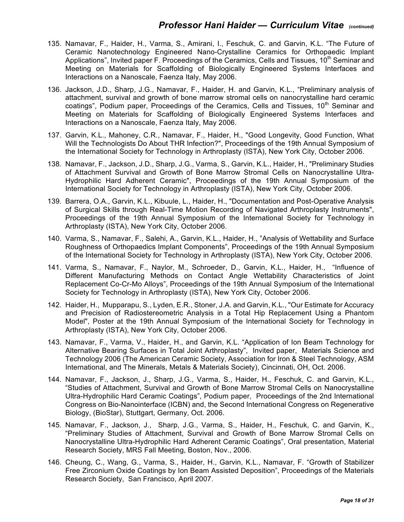- 135. Namavar, F., Haider, H., Varma, S., Amirani, I., Feschuk, C. and Garvin, K.L. "The Future of Ceramic Nanotechnology Engineered Nano-Crystalline Ceramics for Orthopaedic Implant Applications", Invited paper F. Proceedings of the Ceramics, Cells and Tissues,  $10<sup>th</sup>$  Seminar and Meeting on Materials for Scaffolding of Biologically Engineered Systems Interfaces and Interactions on a Nanoscale, Faenza Italy, May 2006.
- 136. Jackson, J.D., Sharp, J.G., Namavar, F., Haider, H. and Garvin, K.L., "Preliminary analysis of attachment, survival and growth of bone marrow stromal cells on nanocrystalline hard ceramic coatings", Podium paper, Proceedings of the Ceramics, Cells and Tissues, 10<sup>th</sup> Seminar and Meeting on Materials for Scaffolding of Biologically Engineered Systems Interfaces and Interactions on a Nanoscale, Faenza Italy, May 2006.
- 137. Garvin, K.L., Mahoney, C.R., Namavar, F., Haider, H., "Good Longevity, Good Function, What Will the Technologists Do About THR Infection?", Proceedings of the 19th Annual Symposium of the International Society for Technology in Arthroplasty (ISTA), New York City, October 2006.
- 138. Namavar, F., Jackson, J.D., Sharp, J.G., Varma, S., Garvin, K.L., Haider, H., "Preliminary Studies of Attachment Survival and Growth of Bone Marrow Stromal Cells on Nanocrystalline Ultra-Hydrophilic Hard Adherent Ceramic", Proceedings of the 19th Annual Symposium of the International Society for Technology in Arthroplasty (ISTA), New York City, October 2006.
- 139. Barrera, O.A., Garvin, K.L., Kibuule, L., Haider, H., "Documentation and Post-Operative Analysis of Surgical Skills through Real-Time Motion Recording of Navigated Arthroplasty Instruments", Proceedings of the 19th Annual Symposium of the International Society for Technology in Arthroplasty (ISTA), New York City, October 2006.
- 140. Varma, S., Namavar, F., Salehi, A., Garvin, K.L., Haider, H., "Analysis of Wettability and Surface Roughness of Orthopaedics Implant Components", Proceedings of the 19th Annual Symposium of the International Society for Technology in Arthroplasty (ISTA), New York City, October 2006.
- 141. Varma, S., Namavar, F., Naylor, M., Schroeder, D., Garvin, K.L., Haider, H., "Influence of Different Manufacturing Methods on Contact Angle Wettability Characteristics of Joint Replacement Co-Cr-Mo Alloys", Proceedings of the 19th Annual Symposium of the International Society for Technology in Arthroplasty (ISTA), New York City, October 2006.
- 142. Haider, H., Mupparapu, S., Lyden, E.R., Stoner, J.A. and Garvin, K.L., "Our Estimate for Accuracy and Precision of Radiostereometric Analysis in a Total Hip Replacement Using a Phantom Model", Poster at the 19th Annual Symposium of the International Society for Technology in Arthroplasty (ISTA), New York City, October 2006.
- 143. Namavar, F., Varma, V., Haider, H., and Garvin, K.L. "Application of Ion Beam Technology for Alternative Bearing Surfaces in Total Joint Arthroplasty", Invited paper, Materials Science and Technology 2006 (The American Ceramic Society, Association for Iron & Steel Technology, ASM International, and The Minerals, Metals & Materials Society), Cincinnati, OH, Oct. 2006.
- 144. Namavar, F., Jackson, J., Sharp, J.G., Varma, S., Haider, H., Feschuk, C. and Garvin, K.L., "Studies of Attachment, Survival and Growth of Bone Marrow Stromal Cells on Nanocrystalline Ultra-Hydrophilic Hard Ceramic Coatings", Podium paper, Proceedings of the 2nd International Congress on Bio-Nanointerface (ICBN) and, the Second International Congress on Regenerative Biology, (BioStar), Stuttgart, Germany, Oct. 2006.
- 145. Namavar, F., Jackson, J., Sharp, J.G., Varma, S., Haider, H., Feschuk, C. and Garvin, K., "Preliminary Studies of Attachment, Survival and Growth of Bone Marrow Stromal Cells on Nanocrystalline Ultra-Hydrophilic Hard Adherent Ceramic Coatings", Oral presentation, Material Research Society, MRS Fall Meeting, Boston, Nov., 2006.
- 146. Cheung, C., Wang, G., Varma, S., Haider, H., Garvin, K.L., Namavar, F. "Growth of Stabilizer Free Zirconium Oxide Coatings by Ion Beam Assisted Deposition", Proceedings of the Materials Research Society, San Francisco, April 2007.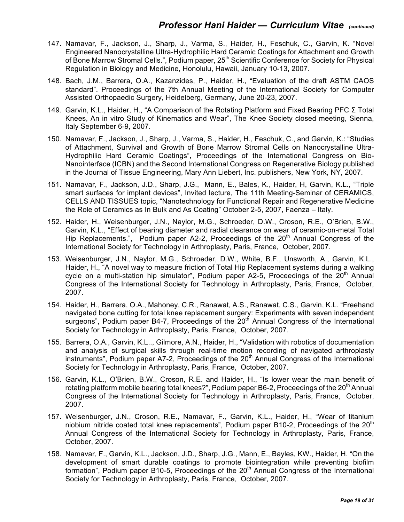- 147. Namavar, F., Jackson, J., Sharp, J., Varma, S., Haider, H., Feschuk, C., Garvin, K. "Novel Engineered Nanocrystalline Ultra-Hydrophilic Hard Ceramic Coatings for Attachment and Growth of Bone Marrow Stromal Cells.", Podium paper, 25<sup>th</sup> Scientific Conference for Society for Physical Regulation in Biology and Medicine, Honolulu, Hawaii, January 10-13, 2007.
- 148. Bach, J.M., Barrera, O.A., Kazanzides, P., Haider, H., "Evaluation of the draft ASTM CAOS standard". Proceedings of the 7th Annual Meeting of the International Society for Computer Assisted Orthopaedic Surgery, Heidelberg, Germany, June 20-23, 2007.
- 149. Garvin, K.L., Haider, H., "A Comparison of the Rotating Platform and Fixed Bearing PFC Σ Total Knees, An in vitro Study of Kinematics and Wear", The Knee Society closed meeting, Sienna, Italy September 6-9, 2007.
- 150. Namavar, F., Jackson, J., Sharp, J., Varma, S., Haider, H., Feschuk, C., and Garvin, K.: "Studies of Attachment, Survival and Growth of Bone Marrow Stromal Cells on Nanocrystalline Ultra-Hydrophilic Hard Ceramic Coatings", Proceedings of the International Congress on Bio-Nanointerface (ICBN) and the Second International Congress on Regenerative Biology published in the Journal of Tissue Engineering, Mary Ann Liebert, Inc. publishers, New York, NY, 2007.
- 151. Namavar, F., Jackson, J.D., Sharp, J.G., Mann, E., Bales, K., Haider, H, Garvin, K.L., "Triple smart surfaces for implant devices", Invited lecture, The 11th Meeting-Seminar of CERAMICS, CELLS AND TISSUES topic, "Nanotechnology for Functional Repair and Regenerative Medicine the Role of Ceramics as In Bulk and As Coating" October 2-5, 2007, Faenza – Italy.
- 152. Haider, H., Weisenburger, J.N., Naylor, M.G., Schroeder, D.W., Croson, R.E., O'Brien, B.W., Garvin, K.L., "Effect of bearing diameter and radial clearance on wear of ceramic-on-metal Total Hip Replacements.", Podium paper A2-2, Proceedings of the  $20<sup>th</sup>$  Annual Congress of the International Society for Technology in Arthroplasty, Paris, France, October, 2007.
- 153. Weisenburger, J.N., Naylor, M.G., Schroeder, D.W., White, B.F., Unsworth, A., Garvin, K.L., Haider, H., "A novel way to measure friction of Total Hip Replacement systems during a walking cycle on a multi-station hip simulator", Podium paper A2-5, Proceedings of the  $20<sup>th</sup>$  Annual Congress of the International Society for Technology in Arthroplasty, Paris, France, October, 2007.
- 154. Haider, H., Barrera, O.A., Mahoney, C.R., Ranawat, A.S., Ranawat, C.S., Garvin, K.L. "Freehand navigated bone cutting for total knee replacement surgery: Experiments with seven independent surgeons", Podium paper B4-7, Proceedings of the 20<sup>th</sup> Annual Congress of the International Society for Technology in Arthroplasty, Paris, France, October, 2007.
- 155. Barrera, O.A., Garvin, K.L.., Gilmore, A.N., Haider, H., "Validation with robotics of documentation and analysis of surgical skills through real-time motion recording of navigated arthroplasty instruments", Podium paper A7-2, Proceedings of the  $20<sup>th</sup>$  Annual Congress of the International Society for Technology in Arthroplasty, Paris, France, October, 2007.
- 156. Garvin, K.L., O'Brien, B.W., Croson, R.E. and Haider, H., "Is lower wear the main benefit of rotating platform mobile bearing total knees?", Podium paper B6-2, Proceedings of the  $20<sup>th</sup>$  Annual Congress of the International Society for Technology in Arthroplasty, Paris, France, October, 2007.
- 157. Weisenburger, J.N., Croson, R.E., Namavar, F., Garvin, K.L., Haider, H., "Wear of titanium niobium nitride coated total knee replacements", Podium paper B10-2, Proceedings of the  $20<sup>th</sup>$ Annual Congress of the International Society for Technology in Arthroplasty, Paris, France, October, 2007.
- 158. Namavar, F., Garvin, K.L., Jackson, J.D., Sharp, J.G., Mann, E., Bayles, KW., Haider, H. "On the development of smart durable coatings to promote biointegration while preventing biofilm formation", Podium paper B10-5, Proceedings of the  $20<sup>th</sup>$  Annual Congress of the International Society for Technology in Arthroplasty, Paris, France, October, 2007.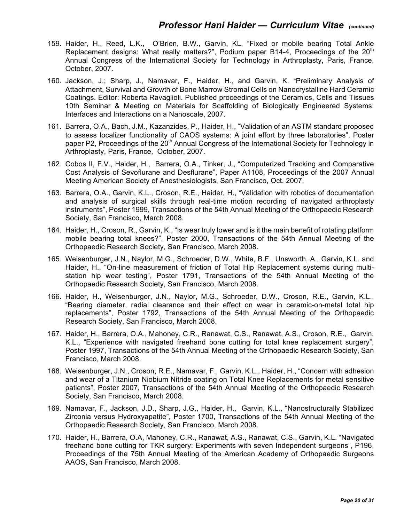- 159. Haider, H., Reed, L.K., O'Brien, B.W., Garvin, KL, "Fixed or mobile bearing Total Ankle Replacement designs: What really matters?", Podium paper B14-4, Proceedings of the  $20<sup>th</sup>$ Annual Congress of the International Society for Technology in Arthroplasty, Paris, France, October, 2007.
- 160. Jackson, J.; Sharp, J., Namavar, F., Haider, H., and Garvin, K. "Preliminary Analysis of Attachment, Survival and Growth of Bone Marrow Stromal Cells on Nanocrystalline Hard Ceramic Coatings. Editor: Roberta Ravaglioli. Published proceedings of the Ceramics, Cells and Tissues 10th Seminar & Meeting on Materials for Scaffolding of Biologically Engineered Systems: Interfaces and Interactions on a Nanoscale, 2007.
- 161. Barrera, O.A., Bach, J.M., Kazanzides, P., Haider, H., "Validation of an ASTM standard proposed to assess localizer functionality of CAOS systems: A joint effort by three laboratories", Poster paper P2, Proceedings of the 20<sup>th</sup> Annual Congress of the International Society for Technology in Arthroplasty, Paris, France, October, 2007.
- 162. Cobos II, F.V., Haider, H., Barrera, O.A., Tinker, J., "Computerized Tracking and Comparative Cost Analysis of Sevoflurane and Desflurane", Paper A1108, Proceedings of the 2007 Annual Meeting American Society of Anesthesiologists, San Francisco, Oct. 2007.
- 163. Barrera, O.A., Garvin, K.L., Croson, R.E., Haider, H., "Validation with robotics of documentation and analysis of surgical skills through real-time motion recording of navigated arthroplasty instruments", Poster 1999, Transactions of the 54th Annual Meeting of the Orthopaedic Research Society, San Francisco, March 2008.
- 164. Haider, H., Croson, R., Garvin, K., "Is wear truly lower and is it the main benefit of rotating platform mobile bearing total knees?", Poster 2000, Transactions of the 54th Annual Meeting of the Orthopaedic Research Society, San Francisco, March 2008.
- 165. Weisenburger, J.N., Naylor, M.G., Schroeder, D.W., White, B.F., Unsworth, A., Garvin, K.L. and Haider, H., "On-line measurement of friction of Total Hip Replacement systems during multistation hip wear testing", Poster 1791, Transactions of the 54th Annual Meeting of the Orthopaedic Research Society, San Francisco, March 2008.
- 166. Haider, H., Weisenburger, J.N., Naylor, M.G., Schroeder, D.W., Croson, R.E., Garvin, K.L., "Bearing diameter, radial clearance and their effect on wear in ceramic-on-metal total hip replacements", Poster 1792, Transactions of the 54th Annual Meeting of the Orthopaedic Research Society, San Francisco, March 2008.
- 167. Haider, H., Barrera, O.A., Mahoney, C.R., Ranawat, C.S., Ranawat, A.S., Croson, R.E., Garvin, K.L., "Experience with navigated freehand bone cutting for total knee replacement surgery", Poster 1997, Transactions of the 54th Annual Meeting of the Orthopaedic Research Society, San Francisco, March 2008.
- 168. Weisenburger, J.N., Croson, R.E., Namavar, F., Garvin, K.L., Haider, H., "Concern with adhesion and wear of a Titanium Niobium Nitride coating on Total Knee Replacements for metal sensitive patients", Poster 2007, Transactions of the 54th Annual Meeting of the Orthopaedic Research Society, San Francisco, March 2008.
- 169. Namavar, F., Jackson, J.D., Sharp, J.G., Haider, H., Garvin, K.L., "Nanostructurally Stabilized Zirconia versus Hydroxyapatite", Poster 1700, Transactions of the 54th Annual Meeting of the Orthopaedic Research Society, San Francisco, March 2008.
- 170. Haider, H., Barrera, O.A, Mahoney, C.R., Ranawat, A.S., Ranawat, C.S., Garvin, K.L. "Navigated freehand bone cutting for TKR surgery: Experiments with seven Independent surgeons", P196, Proceedings of the 75th Annual Meeting of the American Academy of Orthopaedic Surgeons AAOS, San Francisco, March 2008.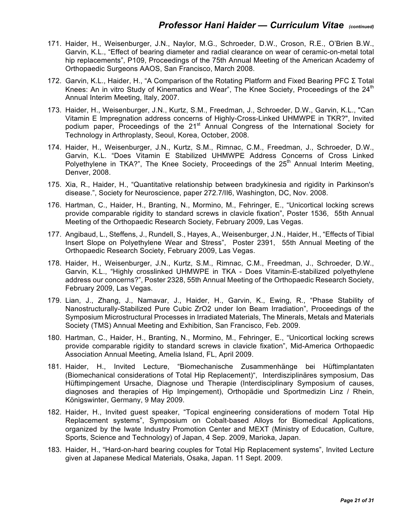- 171. Haider, H., Weisenburger, J.N., Naylor, M.G., Schroeder, D.W., Croson, R.E., O'Brien B.W., Garvin, K.L., "Effect of bearing diameter and radial clearance on wear of ceramic-on-metal total hip replacements", P109, Proceedings of the 75th Annual Meeting of the American Academy of Orthopaedic Surgeons AAOS, San Francisco, March 2008.
- 172. Garvin, K.L., Haider, H., "A Comparison of the Rotating Platform and Fixed Bearing PFC Σ Total Knees: An in vitro Study of Kinematics and Wear", The Knee Society, Proceedings of the  $24<sup>th</sup>$ Annual Interim Meeting, Italy, 2007.
- 173. Haider, H., Weisenburger, J.N., Kurtz, S.M., Freedman, J., Schroeder, D.W., Garvin, K.L., "Can Vitamin E Impregnation address concerns of Highly-Cross-Linked UHMWPE in TKR?", Invited podium paper, Proceedings of the 21<sup>st</sup> Annual Congress of the International Society for Technology in Arthroplasty, Seoul, Korea, October, 2008.
- 174. Haider, H., Weisenburger, J.N., Kurtz, S.M., Rimnac, C.M., Freedman, J., Schroeder, D.W., Garvin, K.L. "Does Vitamin E Stabilized UHMWPE Address Concerns of Cross Linked Polyethylene in TKA?", The Knee Society, Proceedings of the  $25<sup>th</sup>$  Annual Interim Meeting, Denver, 2008.
- 175. Xia, R., Haider, H., "Quantitative relationship between bradykinesia and rigidity in Parkinson's disease.", Society for Neuroscience, paper 272.7/II6, Washington, DC, Nov. 2008.
- 176. Hartman, C., Haider, H., Branting, N., Mormino, M., Fehringer, E., "Unicortical locking screws provide comparable rigidity to standard screws in clavicle fixation", Poster 1536, 55th Annual Meeting of the Orthopaedic Research Society, February 2009, Las Vegas.
- 177. Angibaud, L., Steffens, J., Rundell, S., Hayes, A., Weisenburger, J.N., Haider, H., "Effects of Tibial Insert Slope on Polyethylene Wear and Stress", Poster 2391, 55th Annual Meeting of the Orthopaedic Research Society, February 2009, Las Vegas.
- 178. Haider, H., Weisenburger, J.N., Kurtz, S.M., Rimnac, C.M., Freedman, J., Schroeder, D.W., Garvin, K.L., "Highly crosslinked UHMWPE in TKA - Does Vitamin-E-stabilized polyethylene address our concerns?", Poster 2328, 55th Annual Meeting of the Orthopaedic Research Society, February 2009, Las Vegas.
- 179. Lian, J., Zhang, J., Namavar, J., Haider, H., Garvin, K., Ewing, R., "Phase Stability of Nanostructurally-Stabilized Pure Cubic ZrO2 under Ion Beam Irradiation", Proceedings of the Symposium Microstructural Processes in Irradiated Materials, The Minerals, Metals and Materials Society (TMS) Annual Meeting and Exhibition, San Francisco, Feb. 2009.
- 180. Hartman, C., Haider, H., Branting, N., Mormino, M., Fehringer, E., "Unicortical locking screws provide comparable rigidity to standard screws in clavicle fixation", Mid-America Orthopaedic Association Annual Meeting, Amelia Island, FL, April 2009.
- 181. Haider, H., Invited Lecture, "Biomechanische Zusammenhänge bei Hüftimplantaten (Biomechanical considerations of Total Hip Replacement)", Interdisziplinäres symposium, Das Hüftimpingement Ursache, Diagnose und Therapie (Interdisciplinary Symposium of causes, diagnoses and therapies of Hip Impingement), Orthopädie und Sportmedizin Linz / Rhein, Königswinter, Germany, 9 May 2009.
- 182. Haider, H., Invited guest speaker, "Topical engineering considerations of modern Total Hip Replacement systems", Symposium on Cobalt-based Alloys for Biomedical Applications, organized by the Iwate Industry Promotion Center and MEXT (Ministry of Education, Culture, Sports, Science and Technology) of Japan, 4 Sep. 2009, Marioka, Japan.
- 183. Haider, H., "Hard-on-hard bearing couples for Total Hip Replacement systems", Invited Lecture given at Japanese Medical Materials, Osaka, Japan. 11 Sept. 2009.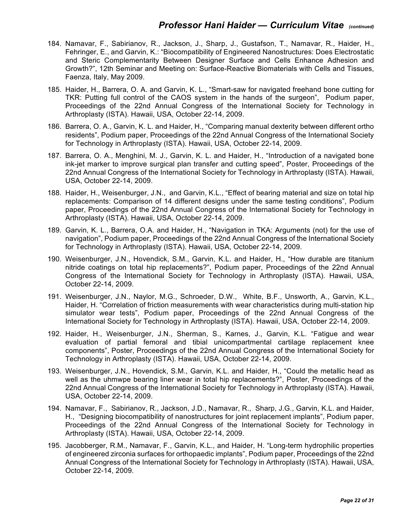- 184. Namavar, F., Sabirianov, R., Jackson, J., Sharp, J., Gustafson, T., Namavar, R., Haider, H., Fehringer, E., and Garvin, K.: "Biocompatibility of Engineered Nanostructures: Does Electrostatic and Steric Complementarity Between Designer Surface and Cells Enhance Adhesion and Growth?", 12th Seminar and Meeting on: Surface-Reactive Biomaterials with Cells and Tissues, Faenza, Italy, May 2009.
- 185. Haider, H., Barrera, O. A. and Garvin, K. L., "Smart-saw for navigated freehand bone cutting for TKR: Putting full control of the CAOS system in the hands of the surgeon", Podium paper, Proceedings of the 22nd Annual Congress of the International Society for Technology in Arthroplasty (ISTA). Hawaii, USA, October 22-14, 2009.
- 186. Barrera, O. A., Garvin, K. L. and Haider, H., "Comparing manual dexterity between different ortho residents", Podium paper, Proceedings of the 22nd Annual Congress of the International Society for Technology in Arthroplasty (ISTA). Hawaii, USA, October 22-14, 2009.
- 187. Barrera, O. A., Menghini, M. J., Garvin, K. L. and Haider, H., "Introduction of a navigated bone ink-jet marker to improve surgical plan transfer and cutting speed", Poster, Proceedings of the 22nd Annual Congress of the International Society for Technology in Arthroplasty (ISTA). Hawaii, USA, October 22-14, 2009.
- 188. Haider, H., Weisenburger, J.N., and Garvin, K.L., "Effect of bearing material and size on total hip replacements: Comparison of 14 different designs under the same testing conditions", Podium paper, Proceedings of the 22nd Annual Congress of the International Society for Technology in Arthroplasty (ISTA). Hawaii, USA, October 22-14, 2009.
- 189. Garvin, K. L., Barrera, O.A. and Haider, H., "Navigation in TKA: Arguments (not) for the use of navigation", Podium paper, Proceedings of the 22nd Annual Congress of the International Society for Technology in Arthroplasty (ISTA). Hawaii, USA, October 22-14, 2009.
- 190. Weisenburger, J.N., Hovendick, S.M., Garvin, K.L. and Haider, H., "How durable are titanium nitride coatings on total hip replacements?", Podium paper, Proceedings of the 22nd Annual Congress of the International Society for Technology in Arthroplasty (ISTA). Hawaii, USA, October 22-14, 2009.
- 191. Weisenburger, J.N., Naylor, M.G., Schroeder, D.W., White, B.F., Unsworth, A., Garvin, K.L., Haider, H. "Correlation of friction measurements with wear characteristics during multi-station hip simulator wear tests", Podium paper, Proceedings of the 22nd Annual Congress of the International Society for Technology in Arthroplasty (ISTA). Hawaii, USA, October 22-14, 2009.
- 192. Haider, H., Weisenburger, J.N., Sherman, S., Karnes, J., Garvin, K.L. "Fatigue and wear evaluation of partial femoral and tibial unicompartmental cartilage replacement knee components", Poster, Proceedings of the 22nd Annual Congress of the International Society for Technology in Arthroplasty (ISTA). Hawaii, USA, October 22-14, 2009.
- 193. Weisenburger, J.N., Hovendick, S.M., Garvin, K.L. and Haider, H., "Could the metallic head as well as the uhmwpe bearing liner wear in total hip replacements?", Poster, Proceedings of the 22nd Annual Congress of the International Society for Technology in Arthroplasty (ISTA). Hawaii, USA, October 22-14, 2009.
- 194. Namavar, F., Sabirianov, R., Jackson, J.D., Namavar, R., Sharp, J.G., Garvin, K.L. and Haider, H., "Designing biocompatibility of nanostructures for joint replacement implants", Podium paper, Proceedings of the 22nd Annual Congress of the International Society for Technology in Arthroplasty (ISTA). Hawaii, USA, October 22-14, 2009.
- 195. Jacobberger, R.M., Namavar, F., Garvin, K.L., and Haider, H. "Long-term hydrophilic properties of engineered zirconia surfaces for orthopaedic implants", Podium paper, Proceedings of the 22nd Annual Congress of the International Society for Technology in Arthroplasty (ISTA). Hawaii, USA, October 22-14, 2009.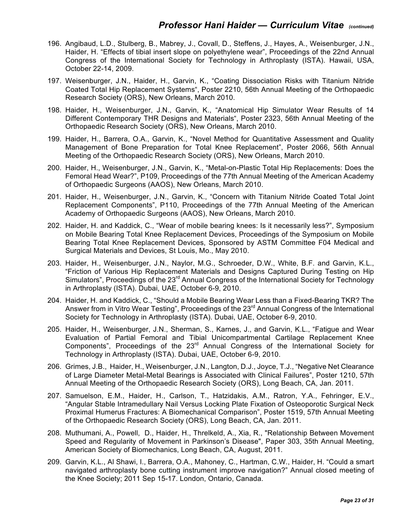- 196. Angibaud, L.D., Stulberg, B., Mabrey, J., Covall, D., Steffens, J., Hayes, A., Weisenburger, J.N., Haider, H. "Effects of tibial insert slope on polyethylene wear", Proceedings of the 22nd Annual Congress of the International Society for Technology in Arthroplasty (ISTA). Hawaii, USA, October 22-14, 2009.
- 197. Weisenburger, J.N., Haider, H., Garvin, K., "Coating Dissociation Risks with Titanium Nitride Coated Total Hip Replacement Systems", Poster 2210, 56th Annual Meeting of the Orthopaedic Research Society (ORS), New Orleans, March 2010.
- 198. Haider, H., Weisenburger, J.N., Garvin, K., "Anatomical Hip Simulator Wear Results of 14 Different Contemporary THR Designs and Materials", Poster 2323, 56th Annual Meeting of the Orthopaedic Research Society (ORS), New Orleans, March 2010.
- 199. Haider, H., Barrera, O.A., Garvin, K., "Novel Method for Quantitative Assessment and Quality Management of Bone Preparation for Total Knee Replacement", Poster 2066, 56th Annual Meeting of the Orthopaedic Research Society (ORS), New Orleans, March 2010.
- 200. Haider, H., Weisenburger, J.N., Garvin, K., "Metal-on-Plastic Total Hip Replacements: Does the Femoral Head Wear?", P109, Proceedings of the 77th Annual Meeting of the American Academy of Orthopaedic Surgeons (AAOS), New Orleans, March 2010.
- 201. Haider, H., Weisenburger, J.N., Garvin, K., "Concern with Titanium Nitride Coated Total Joint Replacement Components", P110, Proceedings of the 77th Annual Meeting of the American Academy of Orthopaedic Surgeons (AAOS), New Orleans, March 2010.
- 202. Haider, H. and Kaddick, C., "Wear of mobile bearing knees: Is it necessarily less?", Symposium on Mobile Bearing Total Knee Replacement Devices, Proceedings of the Symposium on Mobile Bearing Total Knee Replacement Devices, Sponsored by ASTM Committee F04 Medical and Surgical Materials and Devices, St Louis, Mo., May 2010.
- 203. Haider, H., Weisenburger, J.N., Naylor, M.G., Schroeder, D.W., White, B.F. and Garvin, K.L., "Friction of Various Hip Replacement Materials and Designs Captured During Testing on Hip Simulators", Proceedings of the 23<sup>rd</sup> Annual Congress of the International Society for Technology in Arthroplasty (ISTA). Dubai, UAE, October 6-9, 2010.
- 204. Haider, H. and Kaddick, C., "Should a Mobile Bearing Wear Less than a Fixed-Bearing TKR? The Answer from in Vitro Wear Testing", Proceedings of the 23<sup>rd</sup> Annual Congress of the International Society for Technology in Arthroplasty (ISTA). Dubai, UAE, October 6-9, 2010.
- 205. Haider, H., Weisenburger, J.N., Sherman, S., Karnes, J., and Garvin, K.L., "Fatigue and Wear Evaluation of Partial Femoral and Tibial Unicompartmental Cartilage Replacement Knee Components", Proceedings of the 23<sup>rd</sup> Annual Congress of the International Society for Technology in Arthroplasty (ISTA). Dubai, UAE, October 6-9, 2010.
- 206. Grimes, J.B., Haider, H., Weisenburger, J.N., Langton, D.J., Joyce, T.J., "Negative Net Clearance of Large Diameter Metal-Metal Bearings is Associated with Clinical Failures", Poster 1210, 57th Annual Meeting of the Orthopaedic Research Society (ORS), Long Beach, CA, Jan. 2011.
- 207. Samuelson, E.M., Haider, H., Carlson, T., Hatzidakis, A.M., Ratron, Y.A., Fehringer, E.V., "Angular Stable Intramedullary Nail Versus Locking Plate Fixation of Osteoporotic Surgical Neck Proximal Humerus Fractures: A Biomechanical Comparison", Poster 1519, 57th Annual Meeting of the Orthopaedic Research Society (ORS), Long Beach, CA, Jan. 2011.
- 208. Muthumani, A., Powell, D., Haider, H., Threlkeld, A., Xia, R., "Relationship Between Movement Speed and Regularity of Movement in Parkinson's Disease", Paper 303, 35th Annual Meeting, American Society of Biomechanics, Long Beach, CA, August, 2011.
- 209. Garvin, K.L., Al Shawi, I., Barrera, O.A., Mahoney, C., Hartman, C.W., Haider, H. "Could a smart navigated arthroplasty bone cutting instrument improve navigation?" Annual closed meeting of the Knee Society; 2011 Sep 15-17. London, Ontario, Canada.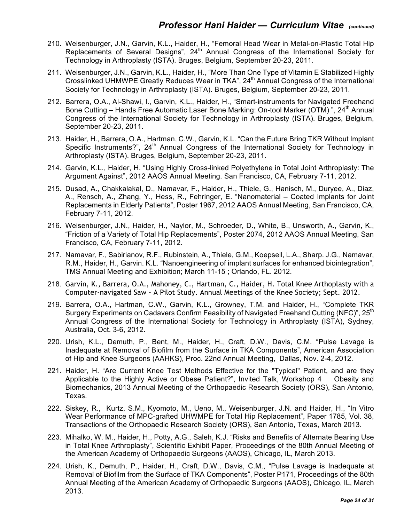- 210. Weisenburger, J.N., Garvin, K.L., Haider, H., "Femoral Head Wear in Metal-on-Plastic Total Hip Replacements of Several Designs",  $24<sup>th</sup>$  Annual Congress of the International Society for Technology in Arthroplasty (ISTA). Bruges, Belgium, September 20-23, 2011.
- 211. Weisenburger, J.N., Garvin, K.L., Haider, H., "More Than One Type of Vitamin E Stabilized Highly Crosslinked UHMWPE Greatly Reduces Wear in TKA", 24<sup>th</sup> Annual Congress of the International Society for Technology in Arthroplasty (ISTA). Bruges, Belgium, September 20-23, 2011.
- 212. Barrera, O.A., Al-Shawi, I., Garvin, K.L., Haider, H., "Smart-instruments for Navigated Freehand Bone Cutting – Hands Free Automatic Laser Bone Marking: On-tool Marker (OTM) ", 24<sup>th</sup> Annual Congress of the International Society for Technology in Arthroplasty (ISTA). Bruges, Belgium, September 20-23, 2011.
- 213. Haider, H., Barrera, O.A., Hartman, C.W., Garvin, K.L. "Can the Future Bring TKR Without Implant Specific Instruments?",  $24<sup>th</sup>$  Annual Congress of the International Society for Technology in Arthroplasty (ISTA). Bruges, Belgium, September 20-23, 2011.
- 214. Garvin, K.L., Haider, H. "Using Highly Cross-linked Polyethylene in Total Joint Arthroplasty: The Argument Against", 2012 AAOS Annual Meeting. San Francisco, CA, February 7-11, 2012.
- 215. Dusad, A., Chakkalakal, D., Namavar, F., Haider, H., Thiele, G., Hanisch, M., Duryee, A., Diaz, A., Rensch, A., Zhang, Y., Hess, R., Fehringer, E. "Nanomaterial – Coated Implants for Joint Replacements in Elderly Patients", Poster 1967, 2012 AAOS Annual Meeting, San Francisco, CA, February 7-11, 2012.
- 216. Weisenburger, J.N., Haider, H., Naylor, M., Schroeder, D., White, B., Unsworth, A., Garvin, K., "Friction of a Variety of Total Hip Replacements", Poster 2074, 2012 AAOS Annual Meeting, San Francisco, CA, February 7-11, 2012.
- 217. Namavar, F., Sabirianov, R.F., Rubinstein, A., Thiele, G.M., Koepsell, L.A., Sharp. J.G., Namavar, R.M., Haider, H., Garvin. K.L. "Nanoengineering of implant surfaces for enhanced biointegration", TMS Annual Meeting and Exhibition; March 11-15 ; Orlando, FL. 2012.
- 218. Garvin, K., Barrera, O.A., Mahoney, C., Hartman, C., Haider, H. Total Knee Arthoplasty with a Computer-navigated Saw - A Pilot Study. Annual Meetings of the Knee Society; Sept. 2012.
- 219. Barrera, O.A., Hartman, C.W., Garvin, K.L., Growney, T.M. and Haider, H., "Complete TKR Surgery Experiments on Cadavers Confirm Feasibility of Navigated Freehand Cutting (NFC)", 25<sup>th</sup> Annual Congress of the International Society for Technology in Arthroplasty (ISTA), Sydney, Australia, Oct. 3-6, 2012.
- 220. Urish, K.L., Demuth, P., Bent, M., Haider, H., Craft, D.W., Davis, C.M. "Pulse Lavage is Inadequate at Removal of Biofilm from the Surface in TKA Components", American Association of Hip and Knee Surgeons (AAHKS), Proc. 22nd Annual Meeting, Dallas, Nov. 2-4, 2012.
- 221. Haider, H. "Are Current Knee Test Methods Effective for the "Typical" Patient, and are they Applicable to the Highly Active or Obese Patient?", Invited Talk, Workshop 4 Obesity and Biomechanics, 2013 Annual Meeting of the Orthopaedic Research Society (ORS), San Antonio, Texas.
- 222. Siskey, R., Kurtz, S.M., Kyomoto, M., Ueno, M., Weisenburger, J.N. and Haider, H., "In Vitro Wear Performance of MPC-grafted UHWMPE for Total Hip Replacement", Paper 1785, Vol. 38, Transactions of the Orthopaedic Research Society (ORS), San Antonio, Texas, March 2013.
- 223. Mihalko, W. M., Haider, H., Potty, A.G., Saleh, K.J. "Risks and Benefits of Alternate Bearing Use in Total Knee Arthroplasty", Scientific Exhibit Paper, Proceedings of the 80th Annual Meeting of the American Academy of Orthopaedic Surgeons (AAOS), Chicago, IL, March 2013.
- 224. Urish, K., Demuth, P., Haider, H., Craft, D.W., Davis, C.M., "Pulse Lavage is Inadequate at Removal of Biofilm from the Surface of TKA Components", Poster P171, Proceedings of the 80th Annual Meeting of the American Academy of Orthopaedic Surgeons (AAOS), Chicago, IL, March 2013.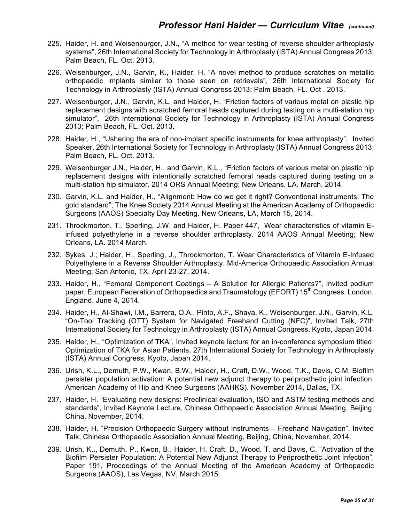- 225. Haider, H. and Weisenburger, J.N., "A method for wear testing of reverse shoulder arthroplasty systems", 26th International Society for Technology in Arthroplasty (ISTA) Annual Congress 2013; Palm Beach, FL. Oct. 2013.
- 226. Weisenburger, J.N., Garvin, K., Haider, H. "A novel method to produce scratches on metallic orthopaedic implants similar to those seen on retrievals", 26th International Society for Technology in Arthroplasty (ISTA) Annual Congress 2013; Palm Beach, FL. Oct . 2013.
- 227. Weisenburger, J.N., Garvin, K.L. and Haider, H. "Friction factors of various metal on plastic hip replacement designs with scratched femoral heads captured during testing on a multi-station hip simulator", 26th International Society for Technology in Arthroplasty (ISTA) Annual Congress 2013; Palm Beach, FL. Oct. 2013.
- 228. Haider, H., "Ushering the era of non-implant specific instruments for knee arthroplasty", Invited Speaker, 26th International Society for Technology in Arthroplasty (ISTA) Annual Congress 2013; Palm Beach, FL. Oct. 2013.
- 229. Weisenburger J.N., Haider, H., and Garvin, K.L., "Friction factors of various metal on plastic hip replacement designs with intentionally scratched femoral heads captured during testing on a multi-station hip simulator. 2014 ORS Annual Meeting; New Orleans, LA. March. 2014.
- 230. Garvin, K.L. and Haider, H., "Alignment: How do we get it right? Conventional instruments: The gold standard", The Knee Society 2014 Annual Meeting at the American Academy of Orthopaedic Surgeons (AAOS) Specialty Day Meeting. New Orleans, LA, March 15, 2014.
- 231. Throckmorton, T., Sperling, J.W. and Haider, H. Paper 447, Wear characteristics of vitamin Einfused polyethylene in a reverse shoulder arthroplasty. 2014 AAOS Annual Meeting; New Orleans, LA. 2014 March.
- 232. Sykes, J.; Haider, H., Sperling, J., Throckmorton, T. Wear Characteristics of Vitamin E-Infused Polyethylene in a Reverse Shoulder Arthroplasty. Mid-America Orthopaedic Association Annual Meeting; San Antonio, TX. April 23-27, 2014.
- 233. Haider, H., "Femoral Component Coatings A Solution for Allergic Patients?", Invited podium paper, European Federation of Orthopaedics and Traumatology (EFORT) 15<sup>th</sup> Congress. London, England. June 4, 2014.
- 234. Haider, H., Al-Shawi, I.M., Barrera, O.A., Pinto, A.F., Shaya, K., Weisenburger, J.N., Garvin, K.L. "On-Tool Tracking (OTT) System for Navigated Freehand Cutting (NFC)", Invited Talk, 27th International Society for Technology in Arthroplasty (ISTA) Annual Congress, Kyoto, Japan 2014.
- 235. Haider, H., "Optimization of TKA", Invited keynote lecture for an in-conference symposium titled: Optimization of TKA for Asian Patients, 27th International Society for Technology in Arthroplasty (ISTA) Annual Congress, Kyoto, Japan 2014.
- 236. Urish, K.L., Demuth, P.W., Kwan, B.W., Haider, H., Craft, D.W., Wood, T.K., Davis, C.M. Biofilm persister population activation: A potential new adjunct therapy to periprosthetic joint infection. American Academy of Hip and Knee Surgeons (AAHKS). November 2014, Dallas, TX.
- 237. Haider, H. "Evaluating new designs: Preclinical evaluation, ISO and ASTM testing methods and standards", Invited Keynote Lecture, Chinese Orthopaedic Association Annual Meeting, Beijing, China, November, 2014.
- 238. Haider, H. "Precision Orthopaedic Surgery without Instruments Freehand Navigation", Invited Talk, Chinese Orthopaedic Association Annual Meeting, Beijing, China, November, 2014.
- 239. Urish, K.., Demuth, P., Kwon, B., Haider, H. Craft, D., Wood, T. and Davis, C. "Activation of the Biofilm Persister Population: A Potential New Adjunct Therapy to Periprosthetic Joint Infection", Paper 191, Proceedings of the Annual Meeting of the American Academy of Orthopaedic Surgeons (AAOS), Las Vegas, NV, March 2015.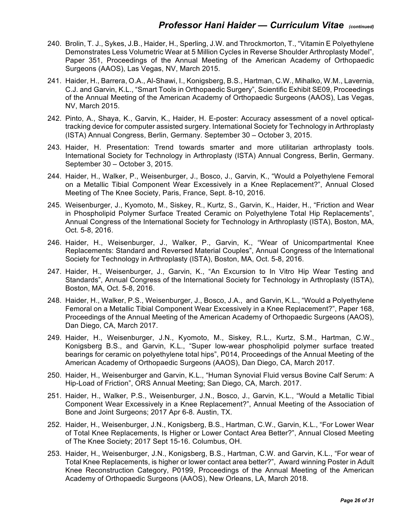- 240. Brolin, T. J., Sykes, J.B., Haider, H., Sperling, J.W. and Throckmorton, T., "Vitamin E Polyethylene Demonstrates Less Volumetric Wear at 5 Million Cycles in Reverse Shoulder Arthroplasty Model", Paper 351, Proceedings of the Annual Meeting of the American Academy of Orthopaedic Surgeons (AAOS), Las Vegas, NV, March 2015.
- 241. Haider, H., Barrera, O.A., Al-Shawi, I., Konigsberg, B.S., Hartman, C.W., Mihalko, W.M., Lavernia, C.J. and Garvin, K.L., "Smart Tools in Orthopaedic Surgery", Scientific Exhibit SE09, Proceedings of the Annual Meeting of the American Academy of Orthopaedic Surgeons (AAOS), Las Vegas, NV, March 2015.
- 242. Pinto, A., Shaya, K., Garvin, K., Haider, H. E-poster: Accuracy assessment of a novel opticaltracking device for computer assisted surgery. International Society for Technology in Arthroplasty (ISTA) Annual Congress, Berlin, Germany. September 30 – October 3, 2015.
- 243. Haider, H. Presentation: Trend towards smarter and more utilitarian arthroplasty tools. International Society for Technology in Arthroplasty (ISTA) Annual Congress, Berlin, Germany. September 30 – October 3, 2015.
- 244. Haider, H., Walker, P., Weisenburger, J., Bosco, J., Garvin, K., "Would a Polyethylene Femoral on a Metallic Tibial Component Wear Excessively in a Knee Replacement?", Annual Closed Meeting of The Knee Society, Paris, France, Sept. 8-10, 2016.
- 245. Weisenburger, J., Kyomoto, M., Siskey, R., Kurtz, S., Garvin, K., Haider, H., "Friction and Wear in Phospholipid Polymer Surface Treated Ceramic on Polyethylene Total Hip Replacements", Annual Congress of the International Society for Technology in Arthroplasty (ISTA), Boston, MA, Oct. 5-8, 2016.
- 246. Haider, H., Weisenburger, J., Walker, P., Garvin, K., "Wear of Unicompartmental Knee Replacements: Standard and Reversed Material Couples", Annual Congress of the International Society for Technology in Arthroplasty (ISTA), Boston, MA, Oct. 5-8, 2016.
- 247. Haider, H., Weisenburger, J., Garvin, K., "An Excursion to In Vitro Hip Wear Testing and Standards", Annual Congress of the International Society for Technology in Arthroplasty (ISTA), Boston, MA, Oct. 5-8, 2016.
- 248. Haider, H., Walker, P.S., Weisenburger, J., Bosco, J.A., and Garvin, K.L., "Would a Polyethylene Femoral on a Metallic Tibial Component Wear Excessively in a Knee Replacement?", Paper 168, Proceedings of the Annual Meeting of the American Academy of Orthopaedic Surgeons (AAOS), Dan Diego, CA, March 2017.
- 249. Haider, H., Weisenburger, J.N., Kyomoto, M., Siskey, R.L., Kurtz, S.M., Hartman, C.W., Konigsberg B.S., and Garvin, K.L., "Super low-wear phospholipid polymer surface treated bearings for ceramic on polyethylene total hips", P014, Proceedings of the Annual Meeting of the American Academy of Orthopaedic Surgeons (AAOS), Dan Diego, CA, March 2017.
- 250. Haider, H., Weisenburger and Garvin, K.L., "Human Synovial Fluid versus Bovine Calf Serum: A Hip-Load of Friction", ORS Annual Meeting; San Diego, CA, March. 2017.
- 251. Haider, H., Walker, P.S., Weisenburger, J.N., Bosco, J., Garvin, K.L., "Would a Metallic Tibial Component Wear Excessively in a Knee Replacement?", Annual Meeting of the Association of Bone and Joint Surgeons; 2017 Apr 6-8. Austin, TX.
- 252. Haider, H., Weisenburger, J.N., Konigsberg, B.S., Hartman, C.W., Garvin, K.L., "For Lower Wear of Total Knee Replacements, Is Higher or Lower Contact Area Better?", Annual Closed Meeting of The Knee Society; 2017 Sept 15-16. Columbus, OH.
- 253. Haider, H., Weisenburger, J.N., Konigsberg, B.S., Hartman, C.W. and Garvin, K.L., "For wear of Total Knee Replacements, is higher or lower contact area better?", Award winning Poster in Adult Knee Reconstruction Category, P0199, Proceedings of the Annual Meeting of the American Academy of Orthopaedic Surgeons (AAOS), New Orleans, LA, March 2018.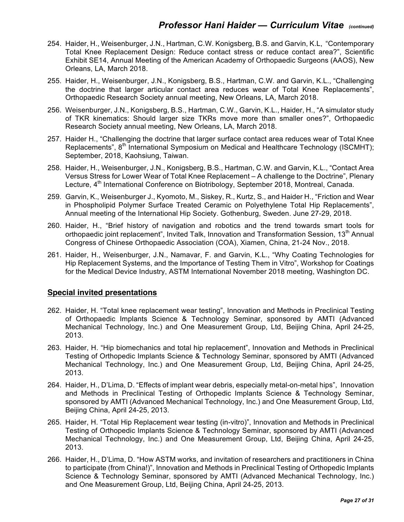- 254. Haider, H., Weisenburger, J.N., Hartman, C.W. Konigsberg, B.S. and Garvin, K.L, "Contemporary Total Knee Replacement Design: Reduce contact stress or reduce contact area?", Scientific Exhibit SE14, Annual Meeting of the American Academy of Orthopaedic Surgeons (AAOS), New Orleans, LA, March 2018.
- 255. Haider, H., Weisenburger, J.N., Konigsberg, B.S., Hartman, C.W. and Garvin, K.L., "Challenging the doctrine that larger articular contact area reduces wear of Total Knee Replacements", Orthopaedic Research Society annual meeting, New Orleans, LA, March 2018.
- 256. Weisenburger, J.N., Konigsberg, B.S., Hartman, C.W., Garvin, K.L., Haider, H., "A simulator study of TKR kinematics: Should larger size TKRs move more than smaller ones?", Orthopaedic Research Society annual meeting, New Orleans, LA, March 2018.
- 257. Haider H., "Challenging the doctrine that larger surface contact area reduces wear of Total Knee Replacements", 8<sup>th</sup> International Symposium on Medical and Healthcare Technology (ISCMHT); September, 2018, Kaohsiung, Taiwan.
- 258. Haider, H., Weisenburger, J.N., Konigsberg, B.S., Hartman, C.W. and Garvin, K.L., "Contact Area Versus Stress for Lower Wear of Total Knee Replacement – A challenge to the Doctrine", Plenary Lecture, 4<sup>th</sup> International Conference on Biotribology, September 2018, Montreal, Canada.
- 259. Garvin, K., Weisenburger J., Kyomoto, M., Siskey, R., Kurtz, S., and Haider H., "Friction and Wear in Phospholipid Polymer Surface Treated Ceramic on Polyethylene Total Hip Replacements", Annual meeting of the International Hip Society. Gothenburg, Sweden. June 27-29, 2018.
- 260. Haider, H., "Brief history of navigation and robotics and the trend towards smart tools for orthopaedic joint replacement", Invited Talk, Innovation and Transformation Session,  $13<sup>th</sup>$  Annual Congress of Chinese Orthopaedic Association (COA), Xiamen, China, 21-24 Nov., 2018.
- 261. Haider, H., Weisenburger, J.N., Namavar, F. and Garvin, K.L., "Why Coating Technologies for Hip Replacement Systems, and the Importance of Testing Them in Vitro", Workshop for Coatings for the Medical Device Industry, ASTM International November 2018 meeting, Washington DC.

#### **Special invited presentations**

- 262. Haider, H. "Total knee replacement wear testing", Innovation and Methods in Preclinical Testing of Orthopaedic Implants Science & Technology Seminar, sponsored by AMTI (Advanced Mechanical Technology, Inc.) and One Measurement Group, Ltd, Beijing China, April 24-25, 2013.
- 263. Haider, H. "Hip biomechanics and total hip replacement", Innovation and Methods in Preclinical Testing of Orthopedic Implants Science & Technology Seminar, sponsored by AMTI (Advanced Mechanical Technology, Inc.) and One Measurement Group, Ltd, Beijing China, April 24-25, 2013.
- 264. Haider, H., D'Lima, D. "Effects of implant wear debris, especially metal-on-metal hips", Innovation and Methods in Preclinical Testing of Orthopedic Implants Science & Technology Seminar, sponsored by AMTI (Advanced Mechanical Technology, Inc.) and One Measurement Group, Ltd, Beijing China, April 24-25, 2013.
- 265. Haider, H. "Total Hip Replacement wear testing (in-vitro)", Innovation and Methods in Preclinical Testing of Orthopedic Implants Science & Technology Seminar, sponsored by AMTI (Advanced Mechanical Technology, Inc.) and One Measurement Group, Ltd, Beijing China, April 24-25, 2013.
- 266. Haider, H., D'Lima, D. "How ASTM works, and invitation of researchers and practitioners in China to participate (from China!)", Innovation and Methods in Preclinical Testing of Orthopedic Implants Science & Technology Seminar, sponsored by AMTI (Advanced Mechanical Technology, Inc.) and One Measurement Group, Ltd, Beijing China, April 24-25, 2013.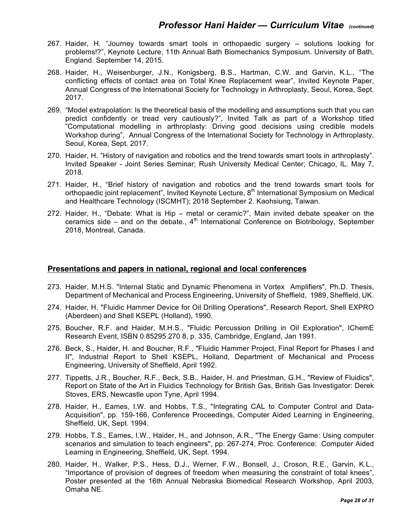- 267. Haider, H. "Journey towards smart tools in orthopaedic surgery solutions looking for problems!?", Keynote Lecture, 11th Annual Bath Biomechanics Symposium. University of Bath, England. September 14, 2015.
- 268. Haider, H., Weisenburger, J.N., Konigsberg, B.S., Hartman, C.W. and Garvin, K.L., "The conflicting effects of contact area on Total Knee Replacement wear", Invited Keynote Paper, Annual Congress of the International Society for Technology in Arthroplasty, Seoul, Korea, Sept. 2017.
- 269. "Model extrapolation: Is the theoretical basis of the modelling and assumptions such that you can predict confidently or tread very cautiously?", Invited Talk as part of a Workshop titled "Computational modelling in arthroplasty: Driving good decisions using credible models Workshop during", Annual Congress of the International Society for Technology in Arthroplasty, Seoul, Korea, Sept. 2017.
- 270. Haider, H. "History of navigation and robotics and the trend towards smart tools in arthroplasty". Invited Speaker - Joint Series Seminar; Rush University Medical Center; Chicago, IL. May 7, 2018.
- 271. Haider, H., "Brief history of navigation and robotics and the trend towards smart tools for orthopaedic joint replacement", Invited Keynote Lecture, 8<sup>th</sup> International Symposium on Medical and Healthcare Technology (ISCMHT); 2018 September 2. Kaohsiung, Taiwan.
- 272. Haider, H., "Debate: What is Hip metal or ceramic?", Main invited debate speaker on the ceramics side – and on the debate.,  $4<sup>th</sup>$  International Conference on Biotribology, September 2018, Montreal, Canada.

#### **Presentations and papers in national, regional and local conferences**

- 273. Haider, M.H.S. "Internal Static and Dynamic Phenomena in Vortex Amplifiers", Ph.D. Thesis, Department of Mechanical and Process Engineering, University of Sheffield, 1989, Sheffield, UK.
- 274. Haider, H. "Fluidic Hammer Device for Oil Drilling Operations", Research Report, Shell EXPRO (Aberdeen) and Shell KSEPL (Holland), 1990.
- 275. Boucher, R.F. and Haider, M.H.S., "Fluidic Percussion Drilling in Oil Exploration", IChemE Research Event, ISBN 0 85295 270 8, p. 335, Cambridge, England, Jan 1991.
- 276. Beck, S., Haider, H. and Boucher, R.F., "Fluidic Hammer Project, Final Report for Phases I and II", Industrial Report to Shell KSEPL, Holland, Department of Mechanical and Process Engineering, University of Sheffield, April 1992.
- 277. Tippetts, J.R., Boucher, R.F., Beck, S.B., Haider, H. and Priestman, G.H., "Review of Fluidics", Report on State of the Art in Fluidics Technology for British Gas, British Gas Investigator: Derek Stoves, ERS, Newcastle upon Tyne, April 1994.
- 278. Haider, H., Eames, I.W. and Hobbs, T.S., "Integrating CAL to Computer Control and Data-Acquisition", pp. 159-166, Conference Proceedings, Computer Aided Learning in Engineering, Sheffield, UK, Sept. 1994.
- 279. Hobbs, T.S., Eames, I.W., Haider, H., and Johnson, A.R., "The Energy Game: Using computer scenarios and simulation to teach engineers", pp. 267-274, Proc. Conference: Computer Aided Learning in Engineering, Sheffield, UK, Sept. 1994.
- 280. Haider, H., Walker, P.S., Hess, D.J., Werner, F.W., Bonsell, J., Croson, R.E., Garvin, K.L., "Importance of provision of degrees of freedom when measuring the constraint of total knees", Poster presented at the 16th Annual Nebraska Biomedical Research Workshop, April 2003, Omaha NE.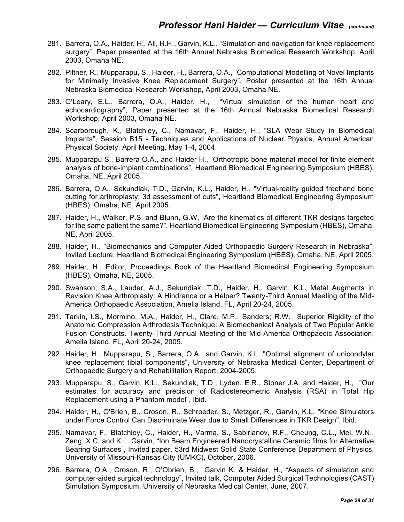- 281. Barrera, O.A., Haider, H., Ali, H.H., Garvin, K.L., "Simulation and navigation for knee replacement surgery", Paper presented at the 16th Annual Nebraska Biomedical Research Workshop, April 2003, Omaha NE.
- 282. Piltner, R., Mupparapu, S., Haider, H., Barrera, O.A., "Computational Modelling of Novel Implants for Minimally Invasive Knee Replacement Surgery", Poster presented at the 16th Annual Nebraska Biomedical Research Workshop, April 2003, Omaha NE.
- 283. O'Leary, E.L., Barrera, O.A., Haider, H., "Virtual simulation of the human heart and echocardiography", Paper presented at the 16th Annual Nebraska Biomedical Research Workshop, April 2003, Omaha NE.
- 284. Scarborough, K., Blatchley, C., Namavar, F., Haider, H., "SLA Wear Study in Biomedical Implants", Session B15 - Techniques and Applications of Nuclear Physics, Annual American Physical Society, April Meeting, May 1-4, 2004.
- 285. Mupparapu S., Barrera O.A., and Haider H., "Orthotropic bone material model for finite element analysis of bone-implant combinations", Heartland Biomedical Engineering Symposium (HBES), Omaha, NE, April 2005.
- 286. Barrera, O.A., Sekundiak, T.D., Garvin, K.L., Haider, H., "Virtual-reality guided freehand bone cutting for arthroplasty; 3d assessment of cuts", Heartland Biomedical Engineering Symposium (HBES), Omaha, NE, April 2005.
- 287. Haider, H., Walker, P.S. and Blunn, G.W, "Are the kinematics of different TKR designs targeted for the same patient the same?", Heartland Biomedical Engineering Symposium (HBES), Omaha, NE, April 2005.
- 288. Haider, H., "Biomechanics and Computer Aided Orthopaedic Surgery Research in Nebraska", Invited Lecture, Heartland Biomedical Engineering Symposium (HBES), Omaha, NE, April 2005.
- 289. Haider, H., Editor, Proceedings Book of the Heartland Biomedical Engineering Symposium (HBES), Omaha, NE, 2005.
- 290. Swanson, S,A., Lauder, A.J., Sekundiak, T.D., Haider, H,. Garvin, K.L. Metal Augments in Revision Knee Arthroplasty: A Hindrance or a Helper? Twenty-Third Annual Meeting of the Mid-America Orthopaedic Association, Amelia Island, FL, April 20-24, 2005.
- 291. Tarkin, I.S., Mormino, M.A., Haider, H., Clare, M.P., Sanders; R.W. Superior Rigidity of the Anatomic Compression Arthrodesis Technique: A Biomechanical Analysis of Two Popular Ankle Fusion Constructs. Twenty-Third Annual Meeting of the Mid-America Orthopaedic Association, Amelia Island, FL, April 20-24, 2005.
- 292. Haider, H., Mupparapu, S., Barrera, O.A., and Garvin, K.L. "Optimal alignment of unicondylar knee replacement tibial components", University of Nebraska Medical Center, Department of Orthopaedic Surgery and Rehabilitation Report, 2004-2005.
- 293. Mupparapu, S., Garvin, K.L., Sekundiak, T.D., Lyden, E.R., Stoner J.A. and Haider, H., "Our estimates for accuracy and precision of Radiostereometric Analysis (RSA) in Total Hip Replacement using a Phantom model", Ibid.
- 294. Haider, H., O'Brien, B., Croson, R., Schroeder, S., Metzger, R., Garvin, K.L. "Knee Simulators under Force Control Can Discriminate Wear due to Small Differences in TKR Design", Ibid.
- 295. Namavar, F., Blatchley, C., Haider, H., Varma, S., Sabirianov, R.F., Cheung, C.L., Mei, W.N., Zeng, X.C. and K.L. Garvin, "Ion Beam Engineered Nanocrystalline Ceramic films for Alternative Bearing Surfaces", Invited paper, 53rd Midwest Solid State Conference Department of Physics, University of Missouri-Kansas City (UMKC), October, 2006.
- 296. Barrera, O.A., Croson, R., O'Obrien, B., Garvin K. & Haider, H., "Aspects of simulation and computer-aided surgical technology", Invited talk, Computer Aided Surgical Technologies (CAST) Simulation Symposium, University of Nebraska Medical Center, June, 2007.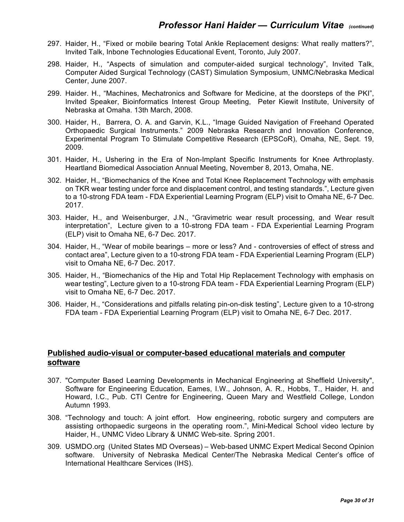- 297. Haider, H., "Fixed or mobile bearing Total Ankle Replacement designs: What really matters?", Invited Talk, Inbone Technologies Educational Event, Toronto, July 2007.
- 298. Haider, H., "Aspects of simulation and computer-aided surgical technology", Invited Talk, Computer Aided Surgical Technology (CAST) Simulation Symposium, UNMC/Nebraska Medical Center, June 2007.
- 299. Haider. H., "Machines, Mechatronics and Software for Medicine, at the doorsteps of the PKI", Invited Speaker, Bioinformatics Interest Group Meeting, Peter Kiewit Institute, University of Nebraska at Omaha. 13th March, 2008.
- 300. Haider, H., Barrera, O. A. and Garvin, K.L., "Image Guided Navigation of Freehand Operated Orthopaedic Surgical Instruments." 2009 Nebraska Research and Innovation Conference, Experimental Program To Stimulate Competitive Research (EPSCoR), Omaha, NE, Sept. 19, 2009.
- 301. Haider, H., Ushering in the Era of Non-Implant Specific Instruments for Knee Arthroplasty. Heartland Biomedical Association Annual Meeting, November 8, 2013, Omaha, NE.
- 302. Haider, H., "Biomechanics of the Knee and Total Knee Replacement Technology with emphasis on TKR wear testing under force and displacement control, and testing standards.", Lecture given to a 10-strong FDA team - FDA Experiential Learning Program (ELP) visit to Omaha NE, 6-7 Dec. 2017.
- 303. Haider, H., and Weisenburger, J.N., "Gravimetric wear result processing, and Wear result interpretation", Lecture given to a 10-strong FDA team - FDA Experiential Learning Program (ELP) visit to Omaha NE, 6-7 Dec. 2017.
- 304. Haider, H., "Wear of mobile bearings more or less? And controversies of effect of stress and contact area", Lecture given to a 10-strong FDA team - FDA Experiential Learning Program (ELP) visit to Omaha NE, 6-7 Dec. 2017.
- 305. Haider, H., "Biomechanics of the Hip and Total Hip Replacement Technology with emphasis on wear testing", Lecture given to a 10-strong FDA team - FDA Experiential Learning Program (ELP) visit to Omaha NE, 6-7 Dec. 2017.
- 306. Haider, H., "Considerations and pitfalls relating pin-on-disk testing", Lecture given to a 10-strong FDA team - FDA Experiential Learning Program (ELP) visit to Omaha NE, 6-7 Dec. 2017.

#### **Published audio-visual or computer-based educational materials and computer software**

- 307. "Computer Based Learning Developments in Mechanical Engineering at Sheffield University", Software for Engineering Education, Eames, I.W., Johnson, A. R., Hobbs, T., Haider, H. and Howard, I.C., Pub. CTI Centre for Engineering, Queen Mary and Westfield College, London Autumn 1993.
- 308. "Technology and touch: A joint effort. How engineering, robotic surgery and computers are assisting orthopaedic surgeons in the operating room.", Mini-Medical School video lecture by Haider, H., UNMC Video Library & UNMC Web-site. Spring 2001.
- 309. USMDO.org (United States MD Overseas) Web-based UNMC Expert Medical Second Opinion software. University of Nebraska Medical Center/The Nebraska Medical Center's office of International Healthcare Services (IHS).